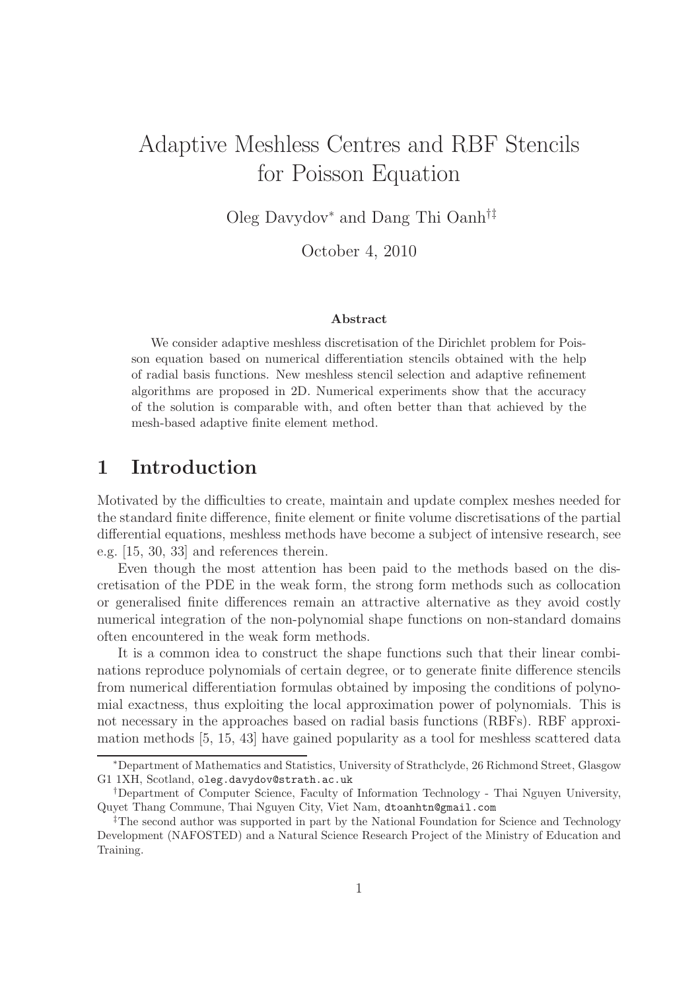# Adaptive Meshless Centres and RBF Stencils for Poisson Equation

Oleg Davydov<sup>∗</sup> and Dang Thi Oanh†‡

October 4, 2010

#### Abstract

We consider adaptive meshless discretisation of the Dirichlet problem for Poisson equation based on numerical differentiation stencils obtained with the help of radial basis functions. New meshless stencil selection and adaptive refinement algorithms are proposed in 2D. Numerical experiments show that the accuracy of the solution is comparable with, and often better than that achieved by the mesh-based adaptive finite element method.

### 1 Introduction

Motivated by the difficulties to create, maintain and update complex meshes needed for the standard finite difference, finite element or finite volume discretisations of the partial differential equations, meshless methods have become a subject of intensive research, see e.g. [15, 30, 33] and references therein.

Even though the most attention has been paid to the methods based on the discretisation of the PDE in the weak form, the strong form methods such as collocation or generalised finite differences remain an attractive alternative as they avoid costly numerical integration of the non-polynomial shape functions on non-standard domains often encountered in the weak form methods.

It is a common idea to construct the shape functions such that their linear combinations reproduce polynomials of certain degree, or to generate finite difference stencils from numerical differentiation formulas obtained by imposing the conditions of polynomial exactness, thus exploiting the local approximation power of polynomials. This is not necessary in the approaches based on radial basis functions (RBFs). RBF approximation methods [5, 15, 43] have gained popularity as a tool for meshless scattered data

<sup>∗</sup>Department of Mathematics and Statistics, University of Strathclyde, 26 Richmond Street, Glasgow G1 1XH, Scotland, oleg.davydov@strath.ac.uk

<sup>†</sup>Department of Computer Science, Faculty of Information Technology - Thai Nguyen University, Quyet Thang Commune, Thai Nguyen City, Viet Nam, dtoanhtn@gmail.com

<sup>‡</sup>The second author was supported in part by the National Foundation for Science and Technology Development (NAFOSTED) and a Natural Science Research Project of the Ministry of Education and Training.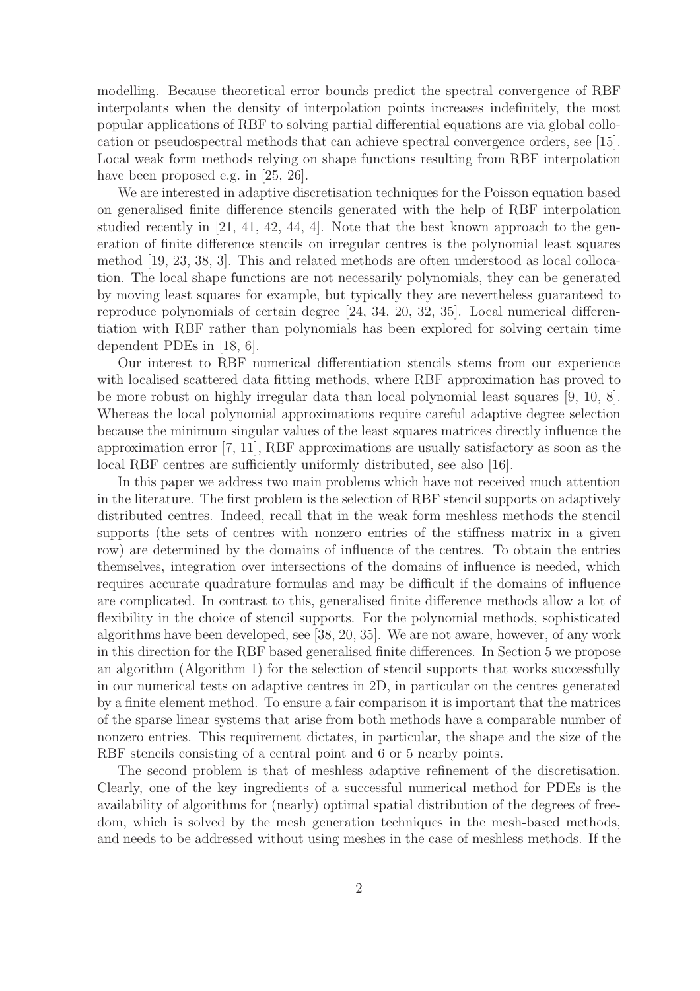modelling. Because theoretical error bounds predict the spectral convergence of RBF interpolants when the density of interpolation points increases indefinitely, the most popular applications of RBF to solving partial differential equations are via global collocation or pseudospectral methods that can achieve spectral convergence orders, see [15]. Local weak form methods relying on shape functions resulting from RBF interpolation have been proposed e.g. in [25, 26].

We are interested in adaptive discretisation techniques for the Poisson equation based on generalised finite difference stencils generated with the help of RBF interpolation studied recently in [21, 41, 42, 44, 4]. Note that the best known approach to the generation of finite difference stencils on irregular centres is the polynomial least squares method [19, 23, 38, 3]. This and related methods are often understood as local collocation. The local shape functions are not necessarily polynomials, they can be generated by moving least squares for example, but typically they are nevertheless guaranteed to reproduce polynomials of certain degree [24, 34, 20, 32, 35]. Local numerical differentiation with RBF rather than polynomials has been explored for solving certain time dependent PDEs in [18, 6].

Our interest to RBF numerical differentiation stencils stems from our experience with localised scattered data fitting methods, where RBF approximation has proved to be more robust on highly irregular data than local polynomial least squares [9, 10, 8]. Whereas the local polynomial approximations require careful adaptive degree selection because the minimum singular values of the least squares matrices directly influence the approximation error [7, 11], RBF approximations are usually satisfactory as soon as the local RBF centres are sufficiently uniformly distributed, see also [16].

In this paper we address two main problems which have not received much attention in the literature. The first problem is the selection of RBF stencil supports on adaptively distributed centres. Indeed, recall that in the weak form meshless methods the stencil supports (the sets of centres with nonzero entries of the stiffness matrix in a given row) are determined by the domains of influence of the centres. To obtain the entries themselves, integration over intersections of the domains of influence is needed, which requires accurate quadrature formulas and may be difficult if the domains of influence are complicated. In contrast to this, generalised finite difference methods allow a lot of flexibility in the choice of stencil supports. For the polynomial methods, sophisticated algorithms have been developed, see [38, 20, 35]. We are not aware, however, of any work in this direction for the RBF based generalised finite differences. In Section 5 we propose an algorithm (Algorithm 1) for the selection of stencil supports that works successfully in our numerical tests on adaptive centres in 2D, in particular on the centres generated by a finite element method. To ensure a fair comparison it is important that the matrices of the sparse linear systems that arise from both methods have a comparable number of nonzero entries. This requirement dictates, in particular, the shape and the size of the RBF stencils consisting of a central point and 6 or 5 nearby points.

The second problem is that of meshless adaptive refinement of the discretisation. Clearly, one of the key ingredients of a successful numerical method for PDEs is the availability of algorithms for (nearly) optimal spatial distribution of the degrees of freedom, which is solved by the mesh generation techniques in the mesh-based methods, and needs to be addressed without using meshes in the case of meshless methods. If the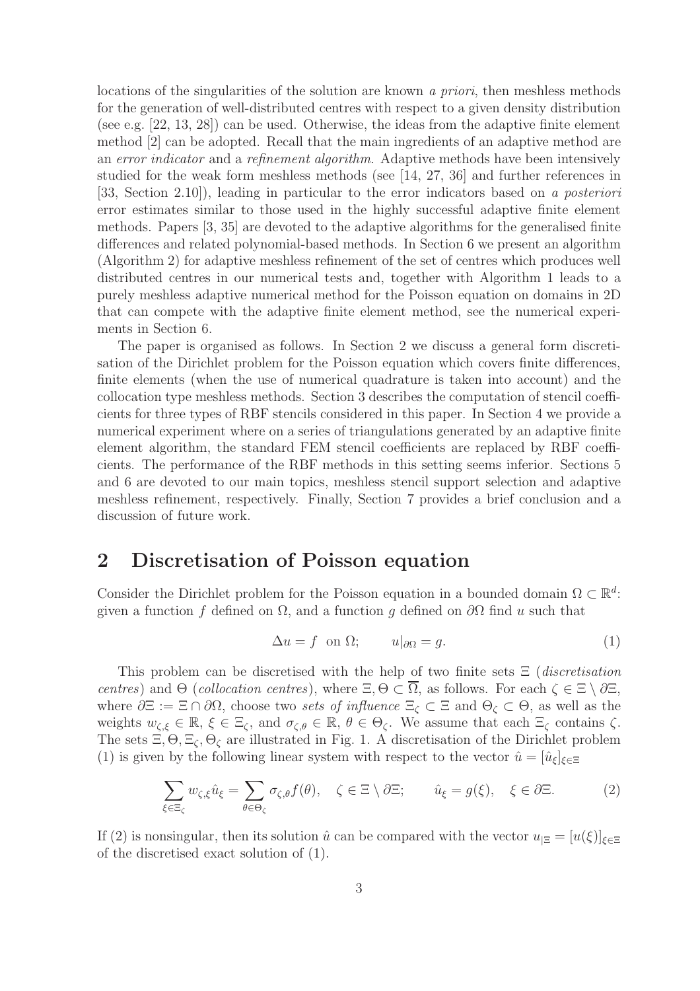locations of the singularities of the solution are known a priori, then meshless methods for the generation of well-distributed centres with respect to a given density distribution (see e.g. [22, 13, 28]) can be used. Otherwise, the ideas from the adaptive finite element method [2] can be adopted. Recall that the main ingredients of an adaptive method are an error indicator and a refinement algorithm. Adaptive methods have been intensively studied for the weak form meshless methods (see [14, 27, 36] and further references in [33, Section 2.10]), leading in particular to the error indicators based on a posteriori error estimates similar to those used in the highly successful adaptive finite element methods. Papers [3, 35] are devoted to the adaptive algorithms for the generalised finite differences and related polynomial-based methods. In Section 6 we present an algorithm (Algorithm 2) for adaptive meshless refinement of the set of centres which produces well distributed centres in our numerical tests and, together with Algorithm 1 leads to a purely meshless adaptive numerical method for the Poisson equation on domains in 2D that can compete with the adaptive finite element method, see the numerical experiments in Section 6.

The paper is organised as follows. In Section 2 we discuss a general form discretisation of the Dirichlet problem for the Poisson equation which covers finite differences, finite elements (when the use of numerical quadrature is taken into account) and the collocation type meshless methods. Section 3 describes the computation of stencil coefficients for three types of RBF stencils considered in this paper. In Section 4 we provide a numerical experiment where on a series of triangulations generated by an adaptive finite element algorithm, the standard FEM stencil coefficients are replaced by RBF coefficients. The performance of the RBF methods in this setting seems inferior. Sections 5 and 6 are devoted to our main topics, meshless stencil support selection and adaptive meshless refinement, respectively. Finally, Section 7 provides a brief conclusion and a discussion of future work.

### 2 Discretisation of Poisson equation

Consider the Dirichlet problem for the Poisson equation in a bounded domain  $\Omega \subset \mathbb{R}^d$ : given a function f defined on  $\Omega$ , and a function q defined on  $\partial\Omega$  find u such that

$$
\Delta u = f \quad \text{on } \Omega; \qquad u|_{\partial \Omega} = g. \tag{1}
$$

This problem can be discretised with the help of two finite sets  $\Xi$  (discretisation centres) and Θ (collocation centres), where  $\Xi$ , Θ  $\subset \overline{\Omega}$ , as follows. For each  $\zeta \in \Xi \setminus \partial \Xi$ , where  $\partial \Xi := \Xi \cap \partial \Omega$ , choose two sets of influence  $\Xi_{\zeta} \subset \Xi$  and  $\Theta_{\zeta} \subset \Theta$ , as well as the weights  $w_{\zeta,\xi} \in \mathbb{R}, \xi \in \Xi_{\zeta}$ , and  $\sigma_{\zeta,\theta} \in \mathbb{R}, \theta \in \Theta_{\zeta}$ . We assume that each  $\Xi_{\zeta}$  contains  $\zeta$ . The sets  $\Xi$ ,  $\Theta$ ,  $\Xi$ <sub> $\zeta$ </sub>,  $\Theta$ <sub> $\zeta$ </sub> are illustrated in Fig. 1. A discretisation of the Dirichlet problem (1) is given by the following linear system with respect to the vector  $\hat{u} = [\hat{u}_{\xi}]_{\xi \in \Xi}$ 

$$
\sum_{\xi \in \Xi_{\zeta}} w_{\zeta,\xi} \hat{u}_{\xi} = \sum_{\theta \in \Theta_{\zeta}} \sigma_{\zeta,\theta} f(\theta), \quad \zeta \in \Xi \setminus \partial \Xi; \qquad \hat{u}_{\xi} = g(\xi), \quad \xi \in \partial \Xi.
$$
 (2)

If (2) is nonsingular, then its solution  $\hat{u}$  can be compared with the vector  $u_{\Xi} = [u(\xi)]_{\xi \in \Xi}$ of the discretised exact solution of (1).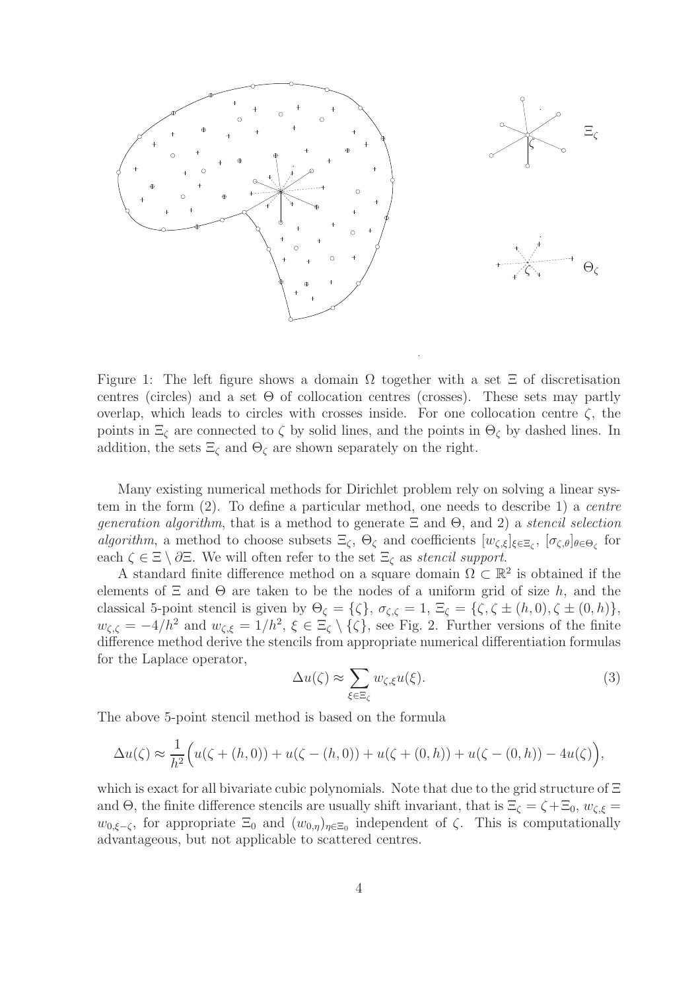

Figure 1: The left figure shows a domain  $\Omega$  together with a set  $\Xi$  of discretisation centres (circles) and a set  $\Theta$  of collocation centres (crosses). These sets may partly overlap, which leads to circles with crosses inside. For one collocation centre  $\zeta$ , the points in  $\Xi_c$  are connected to  $\zeta$  by solid lines, and the points in  $\Theta_c$  by dashed lines. In addition, the sets  $\Xi_{\zeta}$  and  $\Theta_{\zeta}$  are shown separately on the right.

Many existing numerical methods for Dirichlet problem rely on solving a linear system in the form (2). To define a particular method, one needs to describe 1) a centre *generation algorithm*, that is a method to generate  $\Xi$  and  $\Theta$ , and 2) a *stencil selection* algorithm, a method to choose subsets  $\Xi_{\zeta}$ ,  $\Theta_{\zeta}$  and coefficients  $[w_{\zeta,\xi}]_{\xi \in \Xi_{\zeta}}$ ,  $[\sigma_{\zeta,\theta}]_{\theta \in \Theta_{\zeta}}$  for each  $\zeta \in \Xi \setminus \partial \Xi$ . We will often refer to the set  $\Xi_{\zeta}$  as stencil support.

A standard finite difference method on a square domain  $\Omega \subset \mathbb{R}^2$  is obtained if the elements of  $\Xi$  and  $\Theta$  are taken to be the nodes of a uniform grid of size h, and the classical 5-point stencil is given by  $\Theta_{\zeta} = {\zeta}, \sigma_{\zeta,\zeta} = 1, \Xi_{\zeta} = {\zeta}, \zeta \pm (h, 0), \zeta \pm (0, h)$ ,  $w_{\zeta,\zeta} = -4/h^2$  and  $w_{\zeta,\xi} = 1/h^2$ ,  $\xi \in \Xi_{\zeta} \setminus {\zeta}$ , see Fig. 2. Further versions of the finite difference method derive the stencils from appropriate numerical differentiation formulas for the Laplace operator,

$$
\Delta u(\zeta) \approx \sum_{\xi \in \Xi_{\zeta}} w_{\zeta,\xi} u(\xi). \tag{3}
$$

The above 5-point stencil method is based on the formula

$$
\Delta u(\zeta) \approx \frac{1}{h^2} \Big( u(\zeta + (h, 0)) + u(\zeta - (h, 0)) + u(\zeta + (0, h)) + u(\zeta - (0, h)) - 4u(\zeta) \Big),
$$

which is exact for all bivariate cubic polynomials. Note that due to the grid structure of Ξ and  $\Theta$ , the finite difference stencils are usually shift invariant, that is  $\Xi_{\zeta} = \zeta + \Xi_0$ ,  $w_{\zeta,\xi} =$  $w_{0,\xi-\zeta}$ , for appropriate  $\Xi_0$  and  $(w_{0,\eta})_{\eta \in \Xi_0}$  independent of  $\zeta$ . This is computationally advantageous, but not applicable to scattered centres.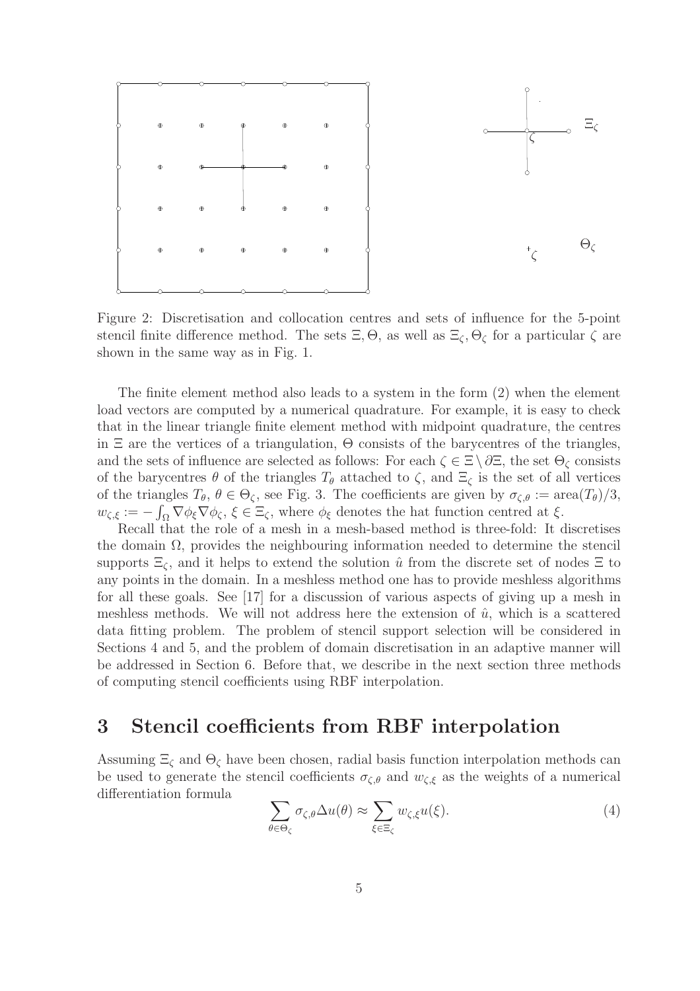

Figure 2: Discretisation and collocation centres and sets of influence for the 5-point stencil finite difference method. The sets  $\Xi$ ,  $\Theta$ , as well as  $\Xi$ <sub> $\zeta$ </sub>,  $\Theta$ <sub> $\zeta$ </sub> for a particular  $\zeta$  are shown in the same way as in Fig. 1.

The finite element method also leads to a system in the form (2) when the element load vectors are computed by a numerical quadrature. For example, it is easy to check that in the linear triangle finite element method with midpoint quadrature, the centres in  $\Xi$  are the vertices of a triangulation,  $\Theta$  consists of the barycentres of the triangles, and the sets of influence are selected as follows: For each  $\zeta \in \Xi \setminus \partial \Xi$ , the set  $\Theta_{\zeta}$  consists of the barycentres  $\theta$  of the triangles  $T_{\theta}$  attached to  $\zeta$ , and  $\Xi_{\zeta}$  is the set of all vertices of the triangles  $T_{\theta}$ ,  $\theta \in \Theta_{\zeta}$ , see Fig. 3. The coefficients are given by  $\sigma_{\zeta,\theta} := \text{area}(T_{\theta})/3$ ,  $w_{\zeta,\xi} := -\int_{\Omega} \nabla \phi_{\xi} \nabla \phi_{\zeta}, \xi \in \Xi_{\zeta}$ , where  $\phi_{\xi}$  denotes the hat function centred at  $\xi$ .

Recall that the role of a mesh in a mesh-based method is three-fold: It discretises the domain  $\Omega$ , provides the neighbouring information needed to determine the stencil supports  $\Xi_{\zeta}$ , and it helps to extend the solution  $\hat{u}$  from the discrete set of nodes  $\Xi$  to any points in the domain. In a meshless method one has to provide meshless algorithms for all these goals. See [17] for a discussion of various aspects of giving up a mesh in meshless methods. We will not address here the extension of  $\hat{u}$ , which is a scattered data fitting problem. The problem of stencil support selection will be considered in Sections 4 and 5, and the problem of domain discretisation in an adaptive manner will be addressed in Section 6. Before that, we describe in the next section three methods of computing stencil coefficients using RBF interpolation.

# 3 Stencil coefficients from RBF interpolation

Assuming  $\Xi_{\zeta}$  and  $\Theta_{\zeta}$  have been chosen, radial basis function interpolation methods can be used to generate the stencil coefficients  $\sigma_{\zeta,\theta}$  and  $w_{\zeta,\xi}$  as the weights of a numerical differentiation formula

$$
\sum_{\theta \in \Theta_{\zeta}} \sigma_{\zeta,\theta} \Delta u(\theta) \approx \sum_{\xi \in \Xi_{\zeta}} w_{\zeta,\xi} u(\xi). \tag{4}
$$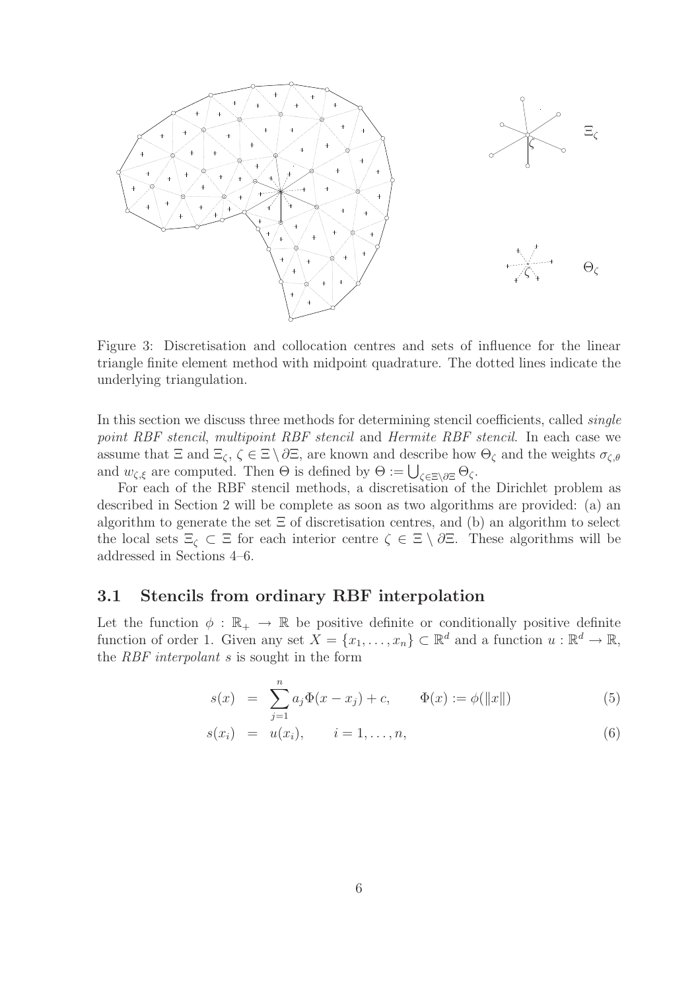

Figure 3: Discretisation and collocation centres and sets of influence for the linear triangle finite element method with midpoint quadrature. The dotted lines indicate the underlying triangulation.

In this section we discuss three methods for determining stencil coefficients, called *single* point RBF stencil, multipoint RBF stencil and Hermite RBF stencil. In each case we assume that  $\Xi$  and  $\Xi_\zeta$ ,  $\zeta \in \Xi \setminus \partial \Xi$ , are known and describe how  $\Theta_\zeta$  and the weights  $\sigma_{\zeta,\theta}$ and  $w_{\zeta,\xi}$  are computed. Then  $\Theta$  is defined by  $\Theta := \bigcup_{\zeta \in \Xi \setminus \partial \Xi} \Theta_{\zeta}.$ 

For each of the RBF stencil methods, a discretisation of the Dirichlet problem as described in Section 2 will be complete as soon as two algorithms are provided: (a) an algorithm to generate the set  $\Xi$  of discretisation centres, and (b) an algorithm to select the local sets  $\Xi_{\zeta} \subset \Xi$  for each interior centre  $\zeta \in \Xi \setminus \partial \Xi$ . These algorithms will be addressed in Sections 4–6.

### 3.1 Stencils from ordinary RBF interpolation

Let the function  $\phi : \mathbb{R}_+ \to \mathbb{R}$  be positive definite or conditionally positive definite function of order 1. Given any set  $X = \{x_1, \ldots, x_n\} \subset \mathbb{R}^d$  and a function  $u : \mathbb{R}^d \to \mathbb{R}$ , the *RBF interpolant s* is sought in the form

$$
s(x) = \sum_{j=1}^{n} a_j \Phi(x - x_j) + c, \qquad \Phi(x) := \phi(||x||)
$$
 (5)

$$
s(x_i) = u(x_i), \qquad i = 1, \ldots, n,
$$
\n
$$
(6)
$$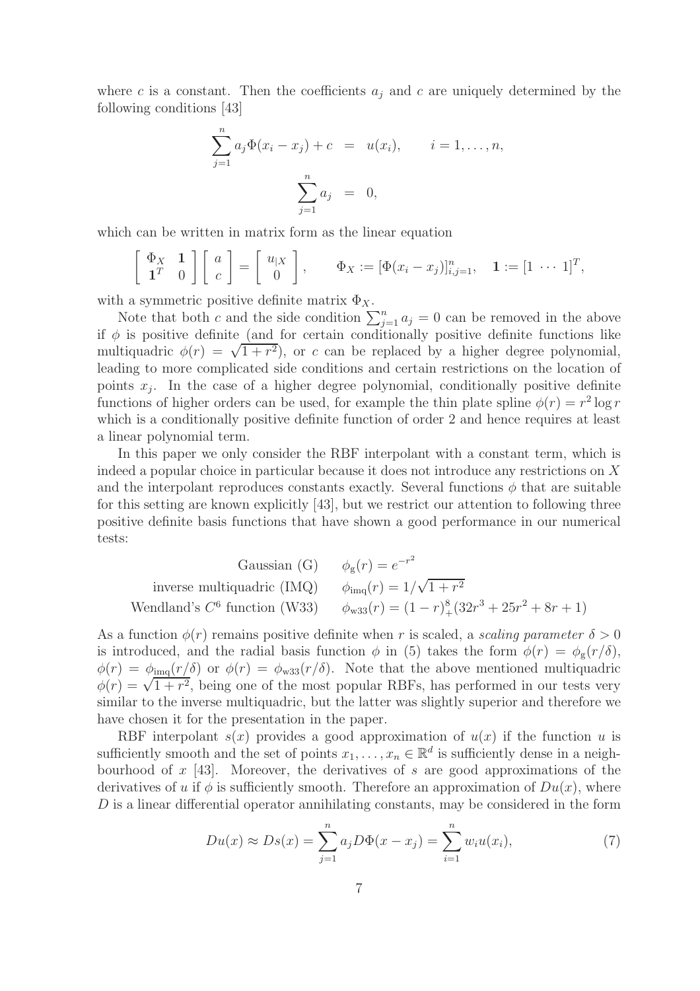where c is a constant. Then the coefficients  $a_j$  and c are uniquely determined by the following conditions [43]

$$
\sum_{j=1}^{n} a_j \Phi(x_i - x_j) + c = u(x_i), \qquad i = 1, ..., n,
$$

$$
\sum_{j=1}^{n} a_j = 0,
$$

which can be written in matrix form as the linear equation

$$
\left[\begin{array}{cc} \Phi_X & \mathbf{1} \\ \mathbf{1}^T & 0 \end{array}\right] \left[\begin{array}{c} a \\ c \end{array}\right] = \left[\begin{array}{c} u_{|X} \\ 0 \end{array}\right], \qquad \Phi_X := \left[\Phi(x_i - x_j)\right]_{i,j=1}^n, \quad \mathbf{1} := \left[1 \cdots 1\right]^T,
$$

with a symmetric positive definite matrix  $\Phi_X$ .

Note that both c and the side condition  $\sum_{j=1}^{n} a_j = 0$  can be removed in the above if  $\phi$  is positive definite (and for certain conditionally positive definite functions like m  $\psi$  is positive definite (and for estimal conditionary positive definite ranceres line leading to more complicated side conditions and certain restrictions on the location of points  $x_j$ . In the case of a higher degree polynomial, conditionally positive definite functions of higher orders can be used, for example the thin plate spline  $\phi(r) = r^2 \log r$ which is a conditionally positive definite function of order 2 and hence requires at least a linear polynomial term.

In this paper we only consider the RBF interpolant with a constant term, which is indeed a popular choice in particular because it does not introduce any restrictions on X and the interpolant reproduces constants exactly. Several functions  $\phi$  that are suitable for this setting are known explicitly [43], but we restrict our attention to following three positive definite basis functions that have shown a good performance in our numerical tests:

Gaussian (G) 
$$
\phi_g(r) = e^{-r^2}
$$
  
inverse multiquadric (IMQ)  $\phi_{\text{imq}}(r) = 1/\sqrt{1+r^2}$   
Wendland's C<sup>6</sup> function (W33)  $\phi_{\text{w33}}(r) = (1-r)_+^8 (32r^3 + 25r^2 + 8r + 1)$ 

As a function  $\phi(r)$  remains positive definite when r is scaled, a scaling parameter  $\delta > 0$ is introduced, and the radial basis function  $\phi$  in (5) takes the form  $\phi(r) = \phi_{g}(r/\delta)$ ,  $\phi(r) = \phi_{\text{img}}(r/\delta)$  or  $\phi(r) = \phi_{\text{w33}}(r/\delta)$ . Note that the above mentioned multiquadric  $\phi(r) = \sqrt{1 + r^2}$ , being one of the most popular RBFs, has performed in our tests very similar to the inverse multiquadric, but the latter was slightly superior and therefore we have chosen it for the presentation in the paper.

RBF interpolant  $s(x)$  provides a good approximation of  $u(x)$  if the function u is sufficiently smooth and the set of points  $x_1, \ldots, x_n \in \mathbb{R}^d$  is sufficiently dense in a neighbourhood of  $x$  [43]. Moreover, the derivatives of s are good approximations of the derivatives of u if  $\phi$  is sufficiently smooth. Therefore an approximation of  $Du(x)$ , where D is a linear differential operator annihilating constants, may be considered in the form

$$
Du(x) \approx Ds(x) = \sum_{j=1}^{n} a_j D\Phi(x - x_j) = \sum_{i=1}^{n} w_i u(x_i),
$$
 (7)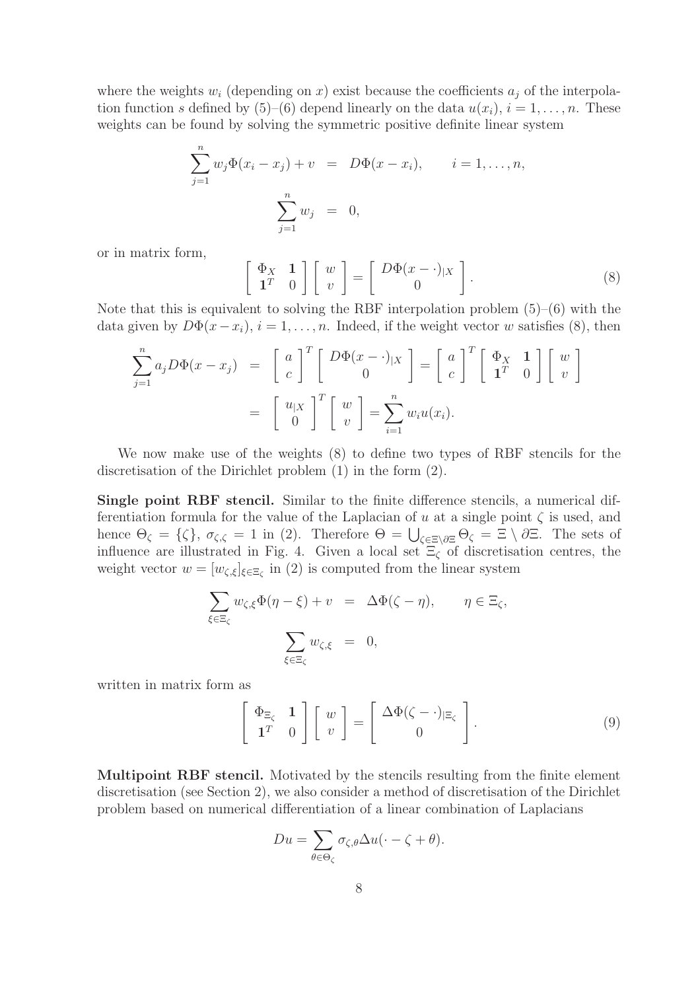where the weights  $w_i$  (depending on x) exist because the coefficients  $a_j$  of the interpolation function s defined by  $(5)-(6)$  depend linearly on the data  $u(x_i)$ ,  $i=1,\ldots,n$ . These weights can be found by solving the symmetric positive definite linear system

$$
\sum_{j=1}^{n} w_j \Phi(x_i - x_j) + v = D\Phi(x - x_i), \qquad i = 1, ..., n,
$$
  

$$
\sum_{j=1}^{n} w_j = 0,
$$

or in matrix form,

$$
\left[\begin{array}{cc} \Phi_X & \mathbf{1} \\ \mathbf{1}^T & 0 \end{array}\right] \left[\begin{array}{c} w \\ v \end{array}\right] = \left[\begin{array}{c} D\Phi(x-\cdot)_{|X} \\ 0 \end{array}\right].\tag{8}
$$

Note that this is equivalent to solving the RBF interpolation problem  $(5)-(6)$  with the data given by  $D\Phi(x-x_i)$ ,  $i=1,\ldots,n$ . Indeed, if the weight vector w satisfies (8), then

$$
\sum_{j=1}^{n} a_j D\Phi(x - x_j) = \begin{bmatrix} a \\ c \end{bmatrix}^T \begin{bmatrix} D\Phi(x - \cdot) | x \\ 0 \end{bmatrix} = \begin{bmatrix} a \\ c \end{bmatrix}^T \begin{bmatrix} \Phi_X & \mathbf{1} \\ \mathbf{1}^T & 0 \end{bmatrix} \begin{bmatrix} w \\ v \end{bmatrix}
$$

$$
= \begin{bmatrix} u_{|X} \\ 0 \end{bmatrix}^T \begin{bmatrix} w \\ v \end{bmatrix} = \sum_{i=1}^{n} w_i u(x_i).
$$

We now make use of the weights (8) to define two types of RBF stencils for the discretisation of the Dirichlet problem (1) in the form (2).

Single point RBF stencil. Similar to the finite difference stencils, a numerical differentiation formula for the value of the Laplacian of u at a single point  $\zeta$  is used, and hence  $\Theta_{\zeta} = {\zeta}, \sigma_{\zeta,\zeta} = 1$  in (2). Therefore  $\Theta = \bigcup_{\zeta \in \Xi \setminus \partial \Xi} \Theta_{\zeta} = \Xi \setminus \partial \Xi$ . The sets of influence are illustrated in Fig. 4. Given a local set  $\Xi_{\zeta}$  of discretisation centres, the weight vector  $w = [w_{\zeta,\xi}]_{\xi \in \Xi_{\zeta}}$  in (2) is computed from the linear system

$$
\sum_{\xi \in \Xi_{\zeta}} w_{\zeta,\xi} \Phi(\eta - \xi) + v = \Delta \Phi(\zeta - \eta), \qquad \eta \in \Xi_{\zeta},
$$

$$
\sum_{\xi \in \Xi_{\zeta}} w_{\zeta,\xi} = 0,
$$

written in matrix form as

$$
\left[\begin{array}{cc} \Phi_{\Xi_{\zeta}} & 1 \\ \mathbf{1}^T & 0 \end{array}\right] \left[\begin{array}{c} w \\ v \end{array}\right] = \left[\begin{array}{c} \Delta \Phi(\zeta - \cdot)_{|\Xi_{\zeta}} \\ 0 \end{array}\right]. \tag{9}
$$

Multipoint RBF stencil. Motivated by the stencils resulting from the finite element discretisation (see Section 2), we also consider a method of discretisation of the Dirichlet problem based on numerical differentiation of a linear combination of Laplacians

$$
Du = \sum_{\theta \in \Theta_{\zeta}} \sigma_{\zeta,\theta} \Delta u(\cdot - \zeta + \theta).
$$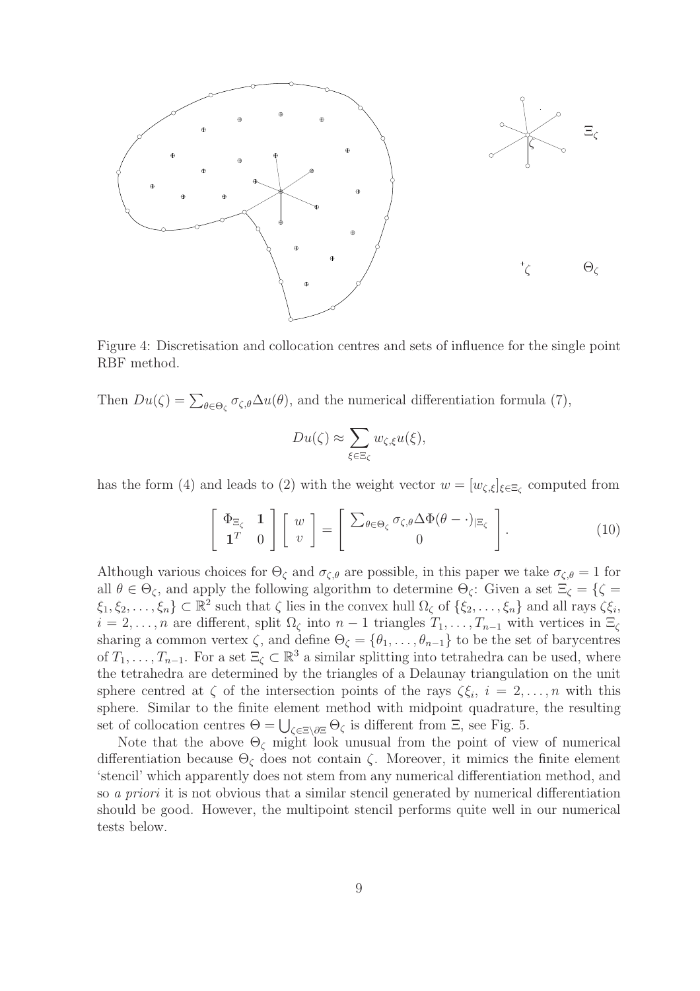

Figure 4: Discretisation and collocation centres and sets of influence for the single point RBF method.

Then  $Du(\zeta) = \sum_{\theta \in \Theta_{\zeta}} \sigma_{\zeta,\theta} \Delta u(\theta)$ , and the numerical differentiation formula (7),

$$
Du(\zeta) \approx \sum_{\xi \in \Xi_{\zeta}} w_{\zeta,\xi} u(\xi),
$$

has the form (4) and leads to (2) with the weight vector  $w = [w_{\zeta,\xi}]_{\xi \in \Xi_{\zeta}}$  computed from

$$
\left[\begin{array}{cc} \Phi_{\Xi_{\zeta}} & 1 \\ \mathbf{1}^T & 0 \end{array}\right] \left[\begin{array}{c} w \\ v \end{array}\right] = \left[\begin{array}{c} \sum_{\theta \in \Theta_{\zeta}} \sigma_{\zeta, \theta} \Delta \Phi(\theta - \cdot)_{|\Xi_{\zeta}} \\ 0 \end{array}\right]. \tag{10}
$$

Although various choices for  $\Theta_{\zeta}$  and  $\sigma_{\zeta,\theta}$  are possible, in this paper we take  $\sigma_{\zeta,\theta} = 1$  for all  $\theta \in \Theta_{\zeta}$ , and apply the following algorithm to determine  $\Theta_{\zeta}$ : Given a set  $\Xi_{\zeta} = {\zeta = \mathbb{R} \cdot \mathbb{R} \cdot \mathbb{R} \cdot \mathbb{R} \cdot \mathbb{R} \cdot \mathbb{R} \cdot \mathbb{R} \cdot \mathbb{R} \cdot \mathbb{R} \cdot \mathbb{R} \cdot \mathbb{R} \cdot \mathbb{R} \cdot \mathbb{R} \cdot \mathbb{R} \cdot \mathbb{R} \$  $\xi_1, \xi_2, \ldots, \xi_n\} \subset \mathbb{R}^2$  such that  $\zeta$  lies in the convex hull  $\Omega_{\zeta}$  of  $\{\xi_2, \ldots, \xi_n\}$  and all rays  $\zeta \xi_i$ ,  $i = 2, \ldots, n$  are different, split  $\Omega_{\zeta}$  into  $n - 1$  triangles  $T_1, \ldots, T_{n-1}$  with vertices in  $\Xi_{\zeta}$ sharing a common vertex  $\zeta$ , and define  $\Theta_{\zeta} = \{\theta_1, \ldots, \theta_{n-1}\}\$  to be the set of barycentres of  $T_1, \ldots, T_{n-1}$ . For a set  $\Xi_\zeta \subset \mathbb{R}^3$  a similar splitting into tetrahedra can be used, where the tetrahedra are determined by the triangles of a Delaunay triangulation on the unit sphere centred at  $\zeta$  of the intersection points of the rays  $\zeta \xi_i$ ,  $i = 2, \ldots, n$  with this sphere. Similar to the finite element method with midpoint quadrature, the resulting set of collocation centres  $\Theta = \bigcup_{\zeta \in \Xi \setminus \partial \Xi} \Theta_{\zeta}$  is different from  $\Xi$ , see Fig. 5.

Note that the above  $\Theta_{\zeta}$  might look unusual from the point of view of numerical differentiation because  $\Theta_{\zeta}$  does not contain  $\zeta$ . Moreover, it mimics the finite element 'stencil' which apparently does not stem from any numerical differentiation method, and so a priori it is not obvious that a similar stencil generated by numerical differentiation should be good. However, the multipoint stencil performs quite well in our numerical tests below.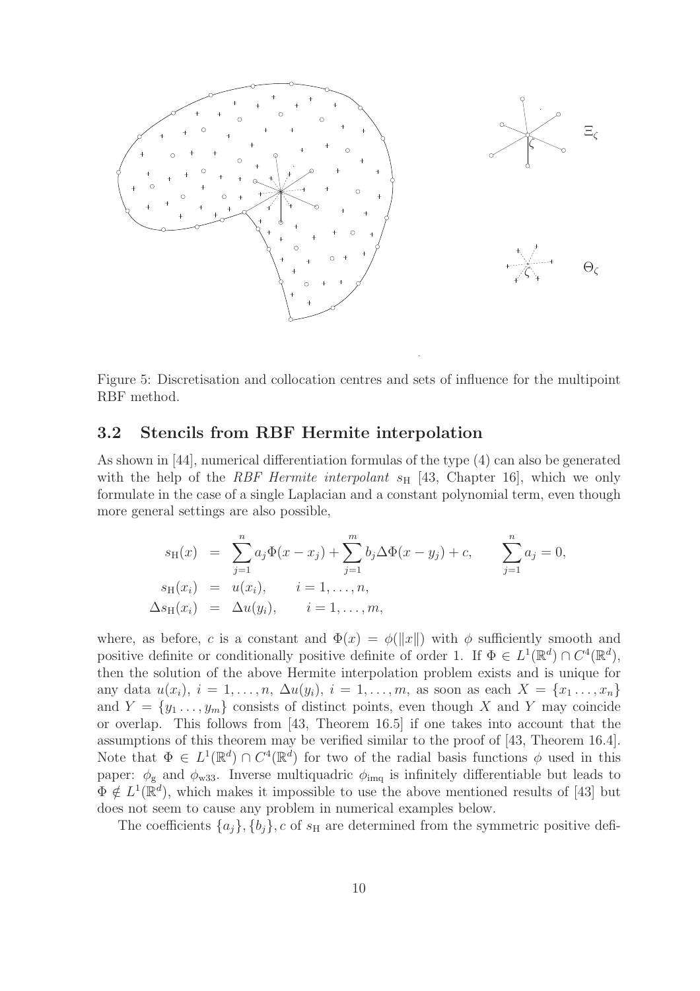

Figure 5: Discretisation and collocation centres and sets of influence for the multipoint RBF method.

### 3.2 Stencils from RBF Hermite interpolation

As shown in [44], numerical differentiation formulas of the type (4) can also be generated with the help of the RBF Hermite interpolant  $s_H$  [43, Chapter 16], which we only formulate in the case of a single Laplacian and a constant polynomial term, even though more general settings are also possible,

$$
s_{\mathrm{H}}(x) = \sum_{j=1}^{n} a_j \Phi(x - x_j) + \sum_{j=1}^{m} b_j \Delta \Phi(x - y_j) + c, \qquad \sum_{j=1}^{n} a_j = 0,
$$
  
\n
$$
s_{\mathrm{H}}(x_i) = u(x_i), \qquad i = 1, ..., n,
$$
  
\n
$$
\Delta s_{\mathrm{H}}(x_i) = \Delta u(y_i), \qquad i = 1, ..., m,
$$

where, as before, c is a constant and  $\Phi(x) = \phi(||x||)$  with  $\phi$  sufficiently smooth and positive definite or conditionally positive definite of order 1. If  $\Phi \in L^1(\mathbb{R}^d) \cap C^4(\mathbb{R}^d)$ , then the solution of the above Hermite interpolation problem exists and is unique for any data  $u(x_i)$ ,  $i = 1, ..., n$ ,  $\Delta u(y_i)$ ,  $i = 1, ..., m$ , as soon as each  $X = \{x_1, ..., x_n\}$ and  $Y = \{y_1, \ldots, y_m\}$  consists of distinct points, even though X and Y may coincide or overlap. This follows from [43, Theorem 16.5] if one takes into account that the assumptions of this theorem may be verified similar to the proof of [43, Theorem 16.4]. Note that  $\Phi \in L^1(\mathbb{R}^d) \cap C^4(\mathbb{R}^d)$  for two of the radial basis functions  $\phi$  used in this paper:  $\phi_{\rm g}$  and  $\phi_{\rm w33}$ . Inverse multiquadric  $\phi_{\rm img}$  is infinitely differentiable but leads to  $\Phi \notin L^1(\mathbb{R}^d)$ , which makes it impossible to use the above mentioned results of [43] but does not seem to cause any problem in numerical examples below.

The coefficients  $\{a_j\}, \{b_j\}, c$  of  $s_H$  are determined from the symmetric positive defi-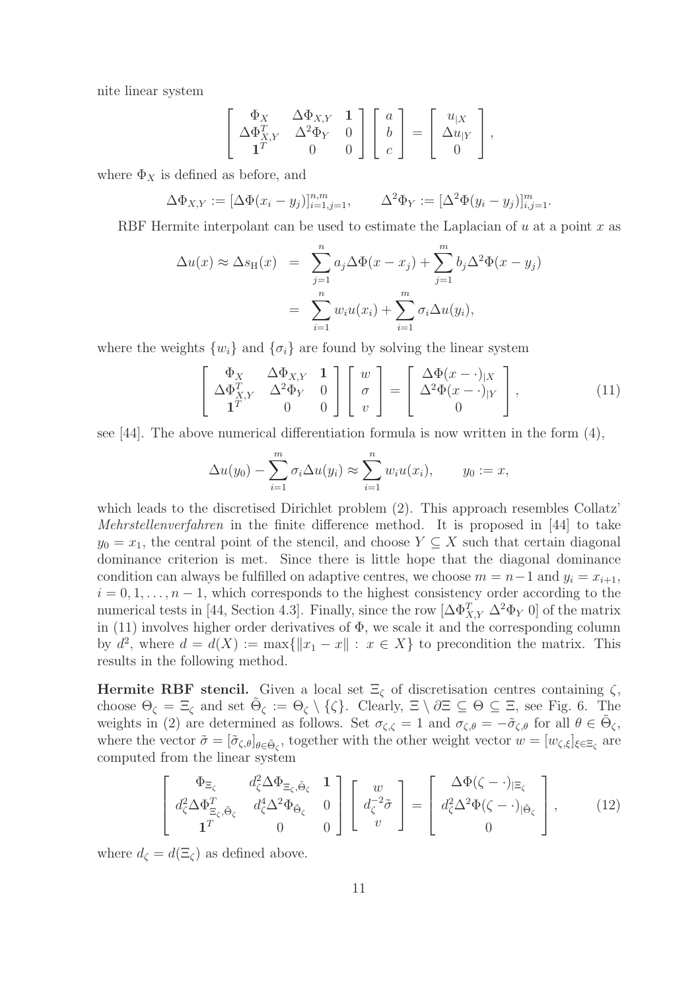nite linear system

$$
\begin{bmatrix} \Phi_X & \Delta \Phi_{X,Y} & \mathbf{1} \\ \Delta \Phi_{X,Y}^T & \Delta^2 \Phi_Y & 0 \\ \mathbf{1}^T & 0 & 0 \end{bmatrix} \begin{bmatrix} a \\ b \\ c \end{bmatrix} = \begin{bmatrix} u_{|X} \\ \Delta u_{|Y} \\ 0 \end{bmatrix},
$$

where  $\Phi_X$  is defined as before, and

$$
\Delta \Phi_{X,Y} := [\Delta \Phi(x_i - y_j)]_{i=1,j=1}^{n,m}, \qquad \Delta^2 \Phi_Y := [\Delta^2 \Phi(y_i - y_j)]_{i,j=1}^m.
$$

RBF Hermite interpolant can be used to estimate the Laplacian of  $u$  at a point  $x$  as

$$
\Delta u(x) \approx \Delta s_{\mathrm{H}}(x) = \sum_{j=1}^{n} a_j \Delta \Phi(x - x_j) + \sum_{j=1}^{m} b_j \Delta^2 \Phi(x - y_j)
$$

$$
= \sum_{i=1}^{n} w_i u(x_i) + \sum_{i=1}^{m} \sigma_i \Delta u(y_i),
$$

where the weights  $\{w_i\}$  and  $\{\sigma_i\}$  are found by solving the linear system

$$
\begin{bmatrix}\n\Phi_X & \Delta \Phi_{X,Y} & \mathbf{1} \\
\Delta \Phi_{X,Y}^T & \Delta^2 \Phi_Y & 0 \\
\mathbf{1}^T & 0 & 0\n\end{bmatrix}\n\begin{bmatrix}\nw \\
\sigma \\
v\n\end{bmatrix} = \begin{bmatrix}\n\Delta \Phi(x - \cdot)_{|X} \\
\Delta^2 \Phi(x - \cdot)_{|Y} \\
0\n\end{bmatrix},
$$
\n(11)

see [44]. The above numerical differentiation formula is now written in the form (4),

$$
\Delta u(y_0) - \sum_{i=1}^m \sigma_i \Delta u(y_i) \approx \sum_{i=1}^n w_i u(x_i), \qquad y_0 := x,
$$

which leads to the discretised Dirichlet problem  $(2)$ . This approach resembles Collatz' Mehrstellenverfahren in the finite difference method. It is proposed in [44] to take  $y_0 = x_1$ , the central point of the stencil, and choose  $Y \subseteq X$  such that certain diagonal dominance criterion is met. Since there is little hope that the diagonal dominance condition can always be fulfilled on adaptive centres, we choose  $m = n-1$  and  $y_i = x_{i+1}$ ,  $i = 0, 1, \ldots, n - 1$ , which corresponds to the highest consistency order according to the numerical tests in [44, Section 4.3]. Finally, since the row  $[\Delta \Phi_{X,Y}^T \Delta^2 \Phi_Y 0]$  of the matrix in  $(11)$  involves higher order derivatives of  $\Phi$ , we scale it and the corresponding column by  $d^2$ , where  $d = d(X) := \max\{||x_1 - x|| : x \in X\}$  to precondition the matrix. This results in the following method.

Hermite RBF stencil. Given a local set  $\Xi_{\zeta}$  of discretisation centres containing  $\zeta$ , choose  $\Theta_{\zeta} = \Xi_{\zeta}$  and set  $\tilde{\Theta}_{\zeta} := \Theta_{\zeta} \setminus {\zeta}$ . Clearly,  $\Xi \setminus \partial \Xi \subseteq \Theta \subseteq \Xi$ , see Fig. 6. The weights in (2) are determined as follows. Set  $\sigma_{\zeta,\zeta} = 1$  and  $\sigma_{\zeta,\theta} = -\tilde{\sigma}_{\zeta,\theta}$  for all  $\theta \in \tilde{\Theta}_{\zeta}$ , where the vector  $\tilde{\sigma} = [\tilde{\sigma}_{\zeta,\theta}]_{\theta \in \tilde{\Theta}_{\zeta}}$ , together with the other weight vector  $w = [w_{\zeta,\xi}]_{\xi \in \Xi_{\zeta}}$  are computed from the linear system

$$
\begin{bmatrix}\n\Phi_{\Xi_{\zeta}} & d_{\zeta}^{2} \Delta \Phi_{\Xi_{\zeta}, \tilde{\Theta}_{\zeta}} & 1 \\
d_{\zeta}^{2} \Delta \Phi_{\Xi_{\zeta}, \tilde{\Theta}_{\zeta}}^{T} & d_{\zeta}^{4} \Delta^{2} \Phi_{\tilde{\Theta}_{\zeta}} & 0 \\
1^{T} & 0 & 0\n\end{bmatrix}\n\begin{bmatrix}\nw \\
d_{\zeta}^{-2} \tilde{\sigma} \\
v\n\end{bmatrix} = \begin{bmatrix}\n\Delta \Phi(\zeta - \cdot)_{|\Xi_{\zeta}} \\
d_{\zeta}^{2} \Delta^{2} \Phi(\zeta - \cdot)_{|\tilde{\Theta}_{\zeta}} \\
0\n\end{bmatrix},
$$
\n(12)

where  $d_{\zeta} = d(\Xi_{\zeta})$  as defined above.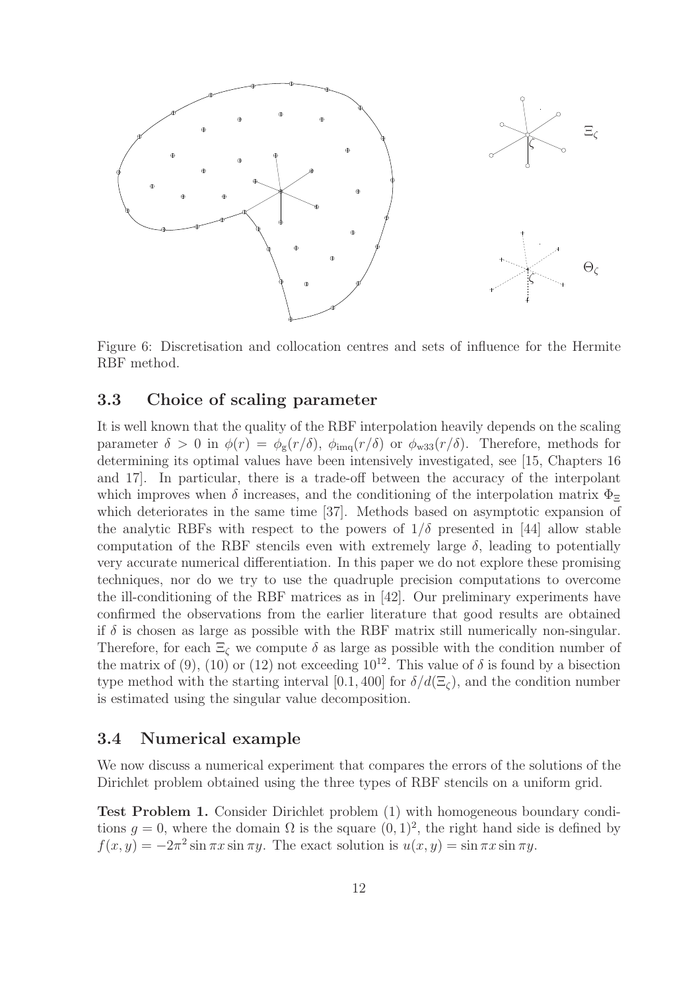

Figure 6: Discretisation and collocation centres and sets of influence for the Hermite RBF method.

### 3.3 Choice of scaling parameter

It is well known that the quality of the RBF interpolation heavily depends on the scaling parameter  $\delta > 0$  in  $\phi(r) = \phi_{\rm g}(r/\delta)$ ,  $\phi_{\rm img}(r/\delta)$  or  $\phi_{\rm w33}(r/\delta)$ . Therefore, methods for determining its optimal values have been intensively investigated, see [15, Chapters 16 and 17]. In particular, there is a trade-off between the accuracy of the interpolant which improves when  $\delta$  increases, and the conditioning of the interpolation matrix  $\Phi_{\Xi}$ which deteriorates in the same time [37]. Methods based on asymptotic expansion of the analytic RBFs with respect to the powers of  $1/\delta$  presented in [44] allow stable computation of the RBF stencils even with extremely large  $\delta$ , leading to potentially very accurate numerical differentiation. In this paper we do not explore these promising techniques, nor do we try to use the quadruple precision computations to overcome the ill-conditioning of the RBF matrices as in [42]. Our preliminary experiments have confirmed the observations from the earlier literature that good results are obtained if  $\delta$  is chosen as large as possible with the RBF matrix still numerically non-singular. Therefore, for each  $\Xi_{\zeta}$  we compute  $\delta$  as large as possible with the condition number of the matrix of (9), (10) or (12) not exceeding  $10^{12}$ . This value of  $\delta$  is found by a bisection type method with the starting interval [0.1, 400] for  $\delta/d(\Xi_c)$ , and the condition number is estimated using the singular value decomposition.

### 3.4 Numerical example

We now discuss a numerical experiment that compares the errors of the solutions of the Dirichlet problem obtained using the three types of RBF stencils on a uniform grid.

Test Problem 1. Consider Dirichlet problem (1) with homogeneous boundary conditions  $g = 0$ , where the domain  $\Omega$  is the square  $(0, 1)^2$ , the right hand side is defined by  $f(x, y) = -2\pi^2 \sin \pi x \sin \pi y$ . The exact solution is  $u(x, y) = \sin \pi x \sin \pi y$ .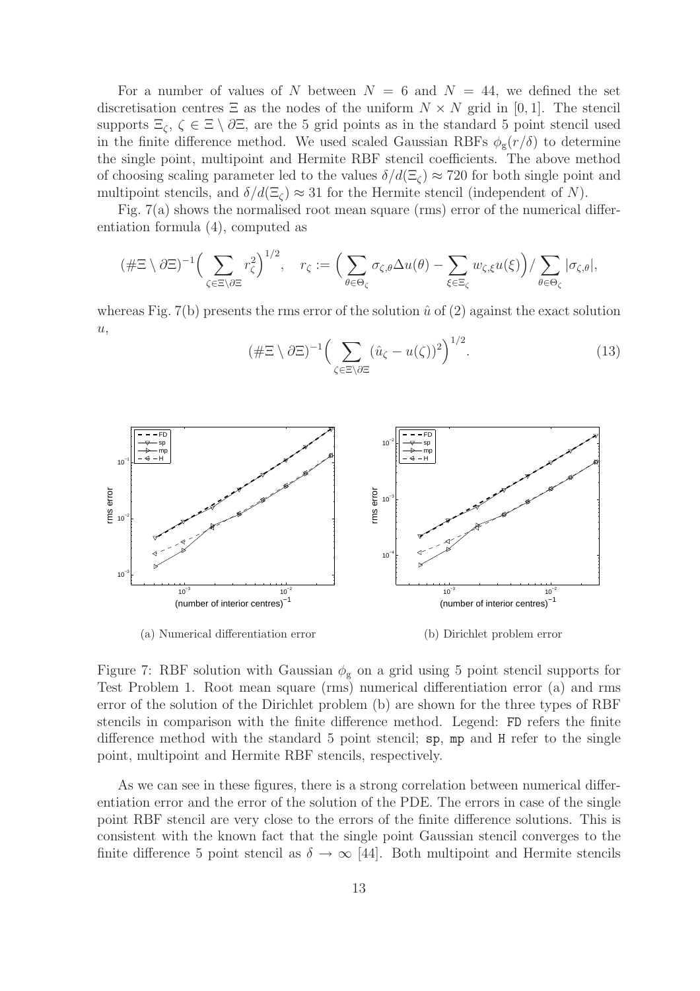For a number of values of N between  $N = 6$  and  $N = 44$ , we defined the set discretisation centres  $\Xi$  as the nodes of the uniform  $N \times N$  grid in [0, 1]. The stencil supports  $\Xi_{\zeta}$ ,  $\zeta \in \Xi \setminus \partial \Xi$ , are the 5 grid points as in the standard 5 point stencil used in the finite difference method. We used scaled Gaussian RBFs  $\phi_{g}(r/\delta)$  to determine the single point, multipoint and Hermite RBF stencil coefficients. The above method of choosing scaling parameter led to the values  $\delta/d(\Xi_c) \approx 720$  for both single point and multipoint stencils, and  $\delta/d(\Xi_c) \approx 31$  for the Hermite stencil (independent of N).

Fig. 7(a) shows the normalised root mean square (rms) error of the numerical differentiation formula (4), computed as

$$
(\#\Xi \setminus \partial \Xi)^{-1} \Big(\sum_{\zeta \in \Xi \setminus \partial \Xi} r_{\zeta}^2\Big)^{1/2}, \quad r_{\zeta} := \Big(\sum_{\theta \in \Theta_{\zeta}} \sigma_{\zeta,\theta} \Delta u(\theta) - \sum_{\xi \in \Xi_{\zeta}} w_{\zeta,\xi} u(\xi)\Big) / \sum_{\theta \in \Theta_{\zeta}} |\sigma_{\zeta,\theta}|,
$$

whereas Fig. 7(b) presents the rms error of the solution  $\hat{u}$  of (2) against the exact solution  $u,$ 

$$
(\#\Xi \setminus \partial \Xi)^{-1} \Big(\sum_{\zeta \in \Xi \setminus \partial \Xi} (\hat{u}_{\zeta} - u(\zeta))^2\Big)^{1/2}.\tag{13}
$$



(a) Numerical differentiation error (b) Dirichlet problem error

Figure 7: RBF solution with Gaussian  $\phi_{g}$  on a grid using 5 point stencil supports for Test Problem 1. Root mean square (rms) numerical differentiation error (a) and rms error of the solution of the Dirichlet problem (b) are shown for the three types of RBF stencils in comparison with the finite difference method. Legend: FD refers the finite difference method with the standard 5 point stencil; sp, mp and H refer to the single point, multipoint and Hermite RBF stencils, respectively.

As we can see in these figures, there is a strong correlation between numerical differentiation error and the error of the solution of the PDE. The errors in case of the single point RBF stencil are very close to the errors of the finite difference solutions. This is consistent with the known fact that the single point Gaussian stencil converges to the finite difference 5 point stencil as  $\delta \to \infty$  [44]. Both multipoint and Hermite stencils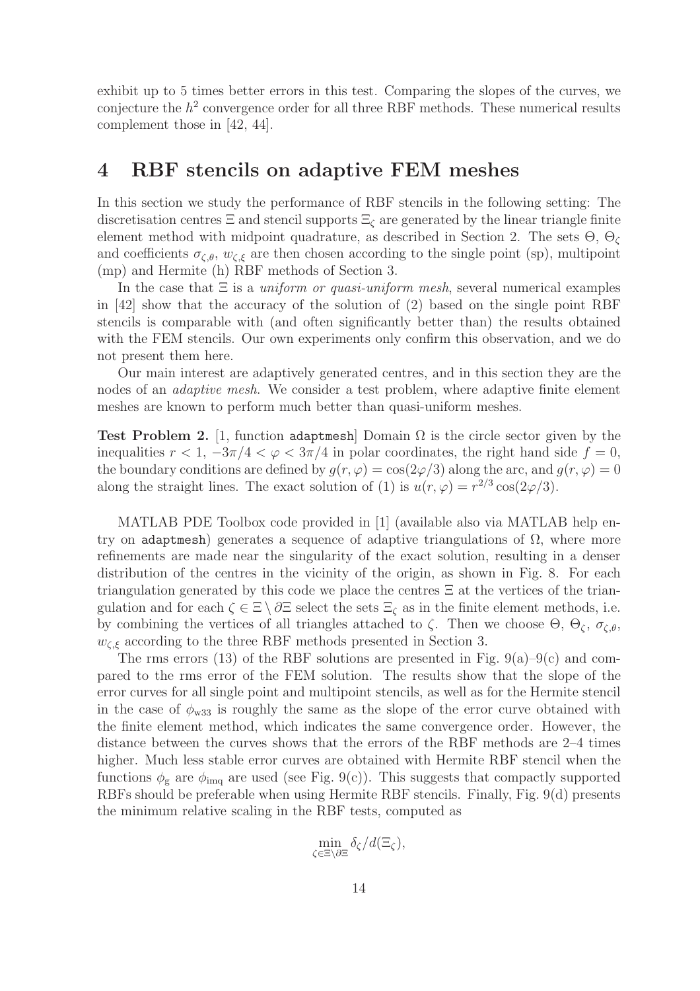exhibit up to 5 times better errors in this test. Comparing the slopes of the curves, we conjecture the  $h^2$  convergence order for all three RBF methods. These numerical results complement those in [42, 44].

## 4 RBF stencils on adaptive FEM meshes

In this section we study the performance of RBF stencils in the following setting: The discretisation centres  $\Xi$  and stencil supports  $\Xi_{\zeta}$  are generated by the linear triangle finite element method with midpoint quadrature, as described in Section 2. The sets  $\Theta$ ,  $\Theta$ <sub> $\zeta$ </sub> and coefficients  $\sigma_{\zeta,\theta}$ ,  $w_{\zeta,\xi}$  are then chosen according to the single point (sp), multipoint (mp) and Hermite (h) RBF methods of Section 3.

In the case that  $\Xi$  is a *uniform or quasi-uniform mesh*, several numerical examples in [42] show that the accuracy of the solution of (2) based on the single point RBF stencils is comparable with (and often significantly better than) the results obtained with the FEM stencils. Our own experiments only confirm this observation, and we do not present them here.

Our main interest are adaptively generated centres, and in this section they are the nodes of an *adaptive mesh*. We consider a test problem, where adaptive finite element meshes are known to perform much better than quasi-uniform meshes.

Test Problem 2. [1, function adaptmesh] Domain  $\Omega$  is the circle sector given by the inequalities  $r < 1$ ,  $-3\pi/4 < \varphi < 3\pi/4$  in polar coordinates, the right hand side  $f = 0$ , the boundary conditions are defined by  $q(r, \varphi) = \cos(2\varphi/3)$  along the arc, and  $q(r, \varphi) = 0$ along the straight lines. The exact solution of (1) is  $u(r, \varphi) = r^{2/3} \cos(2\varphi/3)$ .

MATLAB PDE Toolbox code provided in [1] (available also via MATLAB help entry on adaptmesh) generates a sequence of adaptive triangulations of  $\Omega$ , where more refinements are made near the singularity of the exact solution, resulting in a denser distribution of the centres in the vicinity of the origin, as shown in Fig. 8. For each triangulation generated by this code we place the centres  $\Xi$  at the vertices of the triangulation and for each  $\zeta \in \Xi \setminus \partial \Xi$  select the sets  $\Xi_{\zeta}$  as in the finite element methods, i.e. by combining the vertices of all triangles attached to  $\zeta$ . Then we choose  $\Theta$ ,  $\Theta_{\zeta}$ ,  $\sigma_{\zeta,\theta}$ ,  $w_{\zeta,\xi}$  according to the three RBF methods presented in Section 3.

The rms errors (13) of the RBF solutions are presented in Fig.  $9(a)-9(c)$  and compared to the rms error of the FEM solution. The results show that the slope of the error curves for all single point and multipoint stencils, as well as for the Hermite stencil in the case of  $\phi_{w33}$  is roughly the same as the slope of the error curve obtained with the finite element method, which indicates the same convergence order. However, the distance between the curves shows that the errors of the RBF methods are 2–4 times higher. Much less stable error curves are obtained with Hermite RBF stencil when the functions  $\phi_{g}$  are  $\phi_{\text{img}}$  are used (see Fig. 9(c)). This suggests that compactly supported RBFs should be preferable when using Hermite RBF stencils. Finally, Fig. 9(d) presents the minimum relative scaling in the RBF tests, computed as

$$
\min_{\zeta \in \Xi \backslash \partial \Xi} \delta_{\zeta}/d(\Xi_{\zeta}),
$$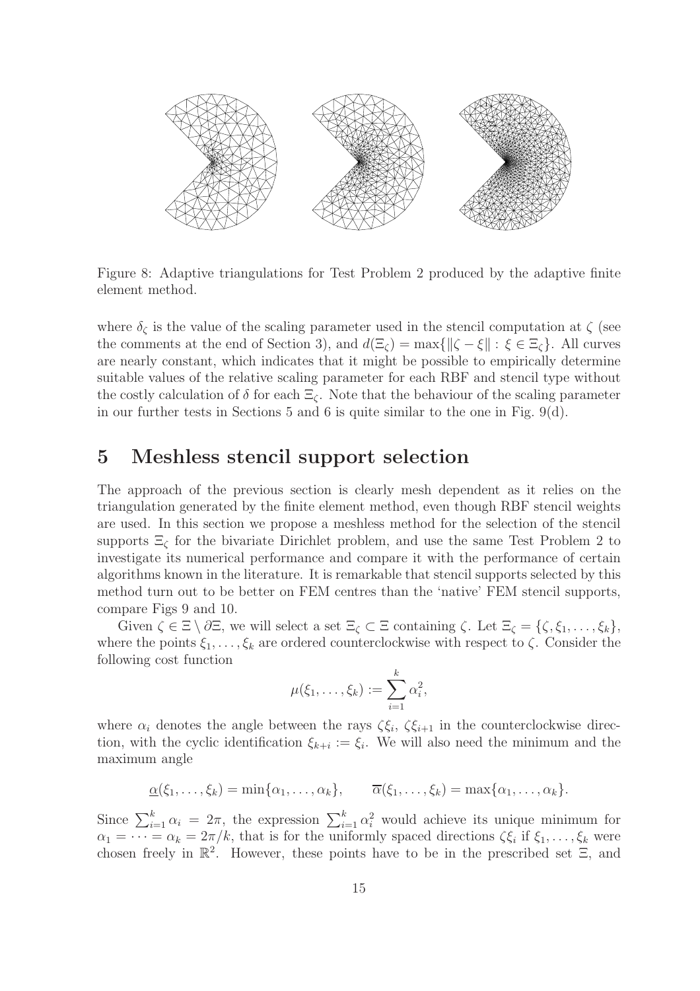

Figure 8: Adaptive triangulations for Test Problem 2 produced by the adaptive finite element method.

where  $\delta_{\zeta}$  is the value of the scaling parameter used in the stencil computation at  $\zeta$  (see the comments at the end of Section 3), and  $d(\Xi_{\zeta}) = \max\{||\zeta - \xi|| : \xi \in \Xi_{\zeta}\}.$  All curves are nearly constant, which indicates that it might be possible to empirically determine suitable values of the relative scaling parameter for each RBF and stencil type without the costly calculation of  $\delta$  for each  $\Xi_{\zeta}$ . Note that the behaviour of the scaling parameter in our further tests in Sections 5 and 6 is quite similar to the one in Fig.  $9(d)$ .

### 5 Meshless stencil support selection

The approach of the previous section is clearly mesh dependent as it relies on the triangulation generated by the finite element method, even though RBF stencil weights are used. In this section we propose a meshless method for the selection of the stencil supports  $\Xi_{\zeta}$  for the bivariate Dirichlet problem, and use the same Test Problem 2 to investigate its numerical performance and compare it with the performance of certain algorithms known in the literature. It is remarkable that stencil supports selected by this method turn out to be better on FEM centres than the 'native' FEM stencil supports, compare Figs 9 and 10.

Given  $\zeta \in \Xi \setminus \partial \Xi$ , we will select a set  $\Xi_{\zeta} \subset \Xi$  containing  $\zeta$ . Let  $\Xi_{\zeta} = \{\zeta, \xi_1, \ldots, \xi_k\},\$ where the points  $\xi_1, \ldots, \xi_k$  are ordered counterclockwise with respect to  $\zeta$ . Consider the following cost function

$$
\mu(\xi_1,\ldots,\xi_k):=\sum_{i=1}^k\alpha_i^2,
$$

where  $\alpha_i$  denotes the angle between the rays  $\zeta \xi_i$ ,  $\zeta \xi_{i+1}$  in the counterclockwise direction, with the cyclic identification  $\xi_{k+i} := \xi_i$ . We will also need the minimum and the maximum angle

$$
\underline{\alpha}(\xi_1,\ldots,\xi_k)=\min\{\alpha_1,\ldots,\alpha_k\},\qquad \overline{\alpha}(\xi_1,\ldots,\xi_k)=\max\{\alpha_1,\ldots,\alpha_k\}.
$$

Since  $\sum_{i=1}^{k} \alpha_i = 2\pi$ , the expression  $\sum_{i=1}^{k} \alpha_i^2$  would achieve its unique minimum for  $\alpha_1 = \cdots = \alpha_k = 2\pi/k$ , that is for the uniformly spaced directions  $\zeta \xi_i$  if  $\xi_1, \ldots, \xi_k$  were chosen freely in  $\mathbb{R}^2$ . However, these points have to be in the prescribed set  $\Xi$ , and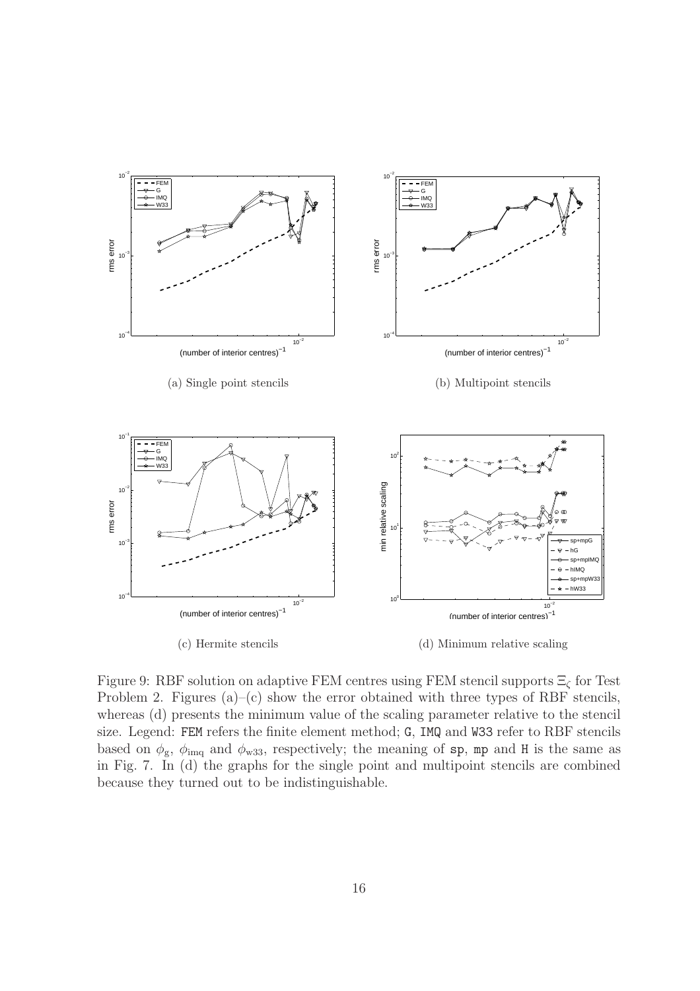

Figure 9: RBF solution on adaptive FEM centres using FEM stencil supports  $\Xi_{\zeta}$  for Test Problem 2. Figures  $(a)$ – $(c)$  show the error obtained with three types of RBF stencils, whereas (d) presents the minimum value of the scaling parameter relative to the stencil size. Legend: FEM refers the finite element method; G, IMQ and W33 refer to RBF stencils based on  $\phi_{\rm g}$ ,  $\phi_{\rm img}$  and  $\phi_{\rm w33}$ , respectively; the meaning of sp, mp and H is the same as in Fig. 7. In (d) the graphs for the single point and multipoint stencils are combined because they turned out to be indistinguishable.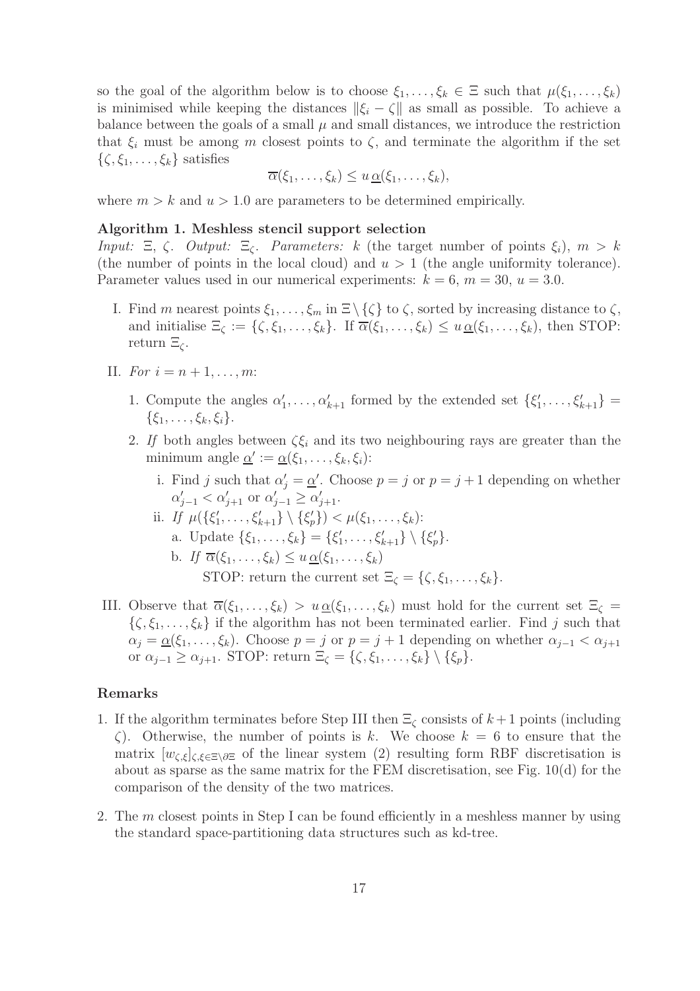so the goal of the algorithm below is to choose  $\xi_1, \ldots, \xi_k \in \Xi$  such that  $\mu(\xi_1, \ldots, \xi_k)$ is minimised while keeping the distances  $\|\xi_i - \zeta\|$  as small as possible. To achieve a balance between the goals of a small  $\mu$  and small distances, we introduce the restriction that  $\xi_i$  must be among m closest points to  $\zeta$ , and terminate the algorithm if the set  $\{\zeta, \xi_1, \ldots, \xi_k\}$  satisfies

$$
\overline{\alpha}(\xi_1,\ldots,\xi_k)\leq u \underline{\alpha}(\xi_1,\ldots,\xi_k),
$$

where  $m > k$  and  $u > 1.0$  are parameters to be determined empirically.

#### Algorithm 1. Meshless stencil support selection

Input: Ξ, ζ. Output: Ξ<sub>ζ</sub>. Parameters: k (the target number of points  $\xi_i$ ),  $m > k$ (the number of points in the local cloud) and  $u > 1$  (the angle uniformity tolerance). Parameter values used in our numerical experiments:  $k = 6$ ,  $m = 30$ ,  $u = 3.0$ .

- I. Find m nearest points  $\xi_1, \ldots, \xi_m$  in  $\Xi \setminus \{\zeta\}$  to  $\zeta$ , sorted by increasing distance to  $\zeta$ , and initialise  $\Xi_{\zeta} := {\zeta, \xi_1, \ldots, \xi_k}$ . If  $\overline{\alpha}(\xi_1, \ldots, \xi_k) \leq u \underline{\alpha}(\xi_1, \ldots, \xi_k)$ , then STOP: return  $\Xi_{\zeta}$ .
- II. For  $i = n + 1, ..., m$ :
	- 1. Compute the angles  $\alpha'_1, \ldots, \alpha'_{k+1}$  formed by the extended set  $\{\xi'_1, \ldots, \xi'_{k+1}\}$  =  $\{\xi_1, \ldots, \xi_k, \xi_i\}.$
	- 2. If both angles between  $\zeta \xi_i$  and its two neighbouring rays are greater than the minimum angle  $\underline{\alpha}' := \underline{\alpha}(\xi_1, \ldots, \xi_k, \xi_i)$ :
		- i. Find j such that  $\alpha'_j = \underline{\alpha}'$ . Choose  $p = j$  or  $p = j + 1$  depending on whether  $\alpha'_{j-1} < \alpha'_{j+1}$  or  $\alpha'_{j-1} \ge \alpha'_{j+1}$ .
		- ii. If  $\mu({\{\xi'_1,\ldots,\xi'_{k+1}\}\setminus{\{\xi'_p\}}}) < \mu(\xi_1,\ldots,\xi_k)$ :
			- a. Update  $\{\xi_1, \ldots, \xi_k\} = \{\xi'_1, \ldots, \xi'_{k+1}\} \setminus \{\xi'_p\}.$
			- b. If  $\overline{\alpha}(\xi_1,\ldots,\xi_k) \leq u \alpha(\xi_1,\ldots,\xi_k)$ STOP: return the current set  $\Xi_{\zeta} = {\zeta, \xi_1, \ldots, \xi_k}.$
- III. Observe that  $\overline{\alpha}(\xi_1,\ldots,\xi_k) > u \underline{\alpha}(\xi_1,\ldots,\xi_k)$  must hold for the current set  $\Xi_{\zeta} =$  $\{\zeta, \xi_1, \ldots, \xi_k\}$  if the algorithm has not been terminated earlier. Find j such that  $\alpha_j = \underline{\alpha}(\xi_1, \ldots, \xi_k)$ . Choose  $p = j$  or  $p = j + 1$  depending on whether  $\alpha_{j-1} < \alpha_{j+1}$ or  $\alpha_{j-1} \geq \alpha_{j+1}$ . STOP: return  $\Xi_{\zeta} = \{\zeta, \xi_1, \ldots, \xi_k\} \setminus \{\xi_p\}.$

#### Remarks

- 1. If the algorithm terminates before Step III then  $\Xi_{\zeta}$  consists of  $k+1$  points (including  $\zeta$ ). Otherwise, the number of points is k. We choose  $k = 6$  to ensure that the matrix  $[w_{\zeta,\xi}]_{\zeta,\xi\in\Xi\setminus\partial\Xi}$  of the linear system (2) resulting form RBF discretisation is about as sparse as the same matrix for the FEM discretisation, see Fig. 10(d) for the comparison of the density of the two matrices.
- 2. The  $m$  closest points in Step I can be found efficiently in a meshless manner by using the standard space-partitioning data structures such as kd-tree.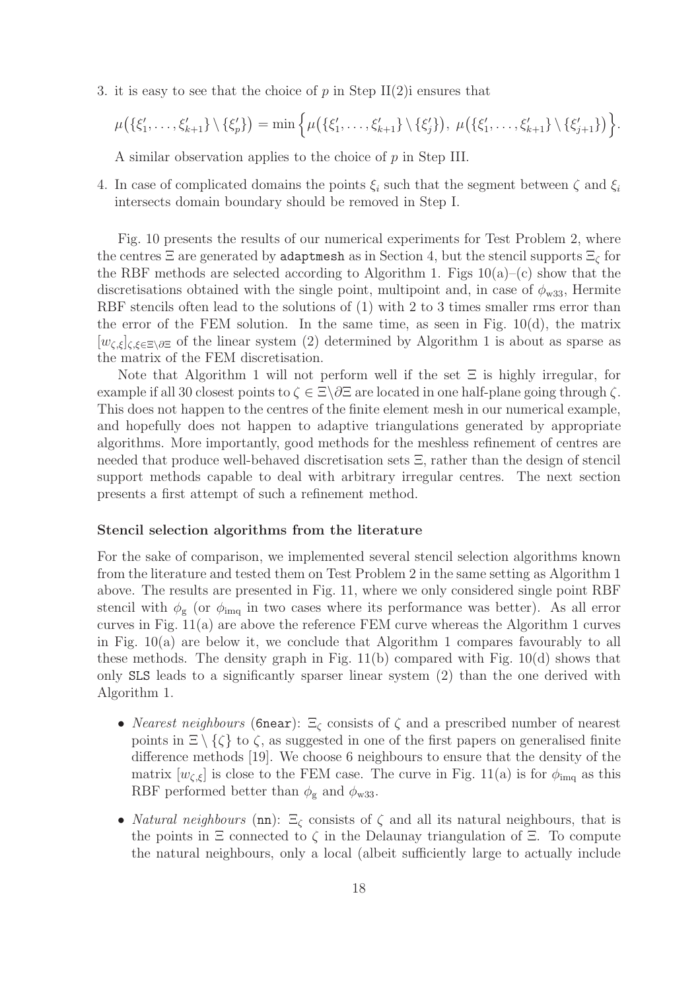3. it is easy to see that the choice of  $p$  in Step II(2)i ensures that

$$
\mu(\{\xi'_1,\ldots,\xi'_{k+1}\}\setminus\{\xi'_p\})=\min\Big\{\mu(\{\xi'_1,\ldots,\xi'_{k+1}\}\setminus\{\xi'_j\}),\ \mu(\{\xi'_1,\ldots,\xi'_{k+1}\}\setminus\{\xi'_{j+1}\})\Big\}.
$$

A similar observation applies to the choice of p in Step III.

4. In case of complicated domains the points  $\xi_i$  such that the segment between  $\zeta$  and  $\xi_i$ intersects domain boundary should be removed in Step I.

Fig. 10 presents the results of our numerical experiments for Test Problem 2, where the centres  $\Xi$  are generated by adaptmesh as in Section 4, but the stencil supports  $\Xi_{\zeta}$  for the RBF methods are selected according to Algorithm 1. Figs  $10(a)$ –(c) show that the discretisations obtained with the single point, multipoint and, in case of  $\phi_{w33}$ , Hermite RBF stencils often lead to the solutions of  $(1)$  with 2 to 3 times smaller rms error than the error of the FEM solution. In the same time, as seen in Fig.  $10(d)$ , the matrix  $[w_{\zeta,\xi}]_{\zeta,\xi\in\Xi\setminus\partial\Xi}$  of the linear system (2) determined by Algorithm 1 is about as sparse as the matrix of the FEM discretisation.

Note that Algorithm 1 will not perform well if the set  $\Xi$  is highly irregular, for example if all 30 closest points to  $\zeta \in \Xi \backslash \partial \Xi$  are located in one half-plane going through  $\zeta$ . This does not happen to the centres of the finite element mesh in our numerical example, and hopefully does not happen to adaptive triangulations generated by appropriate algorithms. More importantly, good methods for the meshless refinement of centres are needed that produce well-behaved discretisation sets Ξ, rather than the design of stencil support methods capable to deal with arbitrary irregular centres. The next section presents a first attempt of such a refinement method.

#### Stencil selection algorithms from the literature

For the sake of comparison, we implemented several stencil selection algorithms known from the literature and tested them on Test Problem 2 in the same setting as Algorithm 1 above. The results are presented in Fig. 11, where we only considered single point RBF stencil with  $\phi_{g}$  (or  $\phi_{\text{img}}$  in two cases where its performance was better). As all error curves in Fig. 11(a) are above the reference FEM curve whereas the Algorithm 1 curves in Fig. 10(a) are below it, we conclude that Algorithm 1 compares favourably to all these methods. The density graph in Fig. 11(b) compared with Fig. 10(d) shows that only SLS leads to a significantly sparser linear system (2) than the one derived with Algorithm 1.

- *Nearest neighbours* (6near):  $\Xi_{\zeta}$  consists of  $\zeta$  and a prescribed number of nearest points in  $\Xi \setminus \{\zeta\}$  to  $\zeta$ , as suggested in one of the first papers on generalised finite difference methods [19]. We choose 6 neighbours to ensure that the density of the matrix  $[w_{\zeta,\xi}]$  is close to the FEM case. The curve in Fig. 11(a) is for  $\phi_{\text{img}}$  as this RBF performed better than  $\phi_{\rm g}$  and  $\phi_{\rm w33}$ .
- *Natural neighbours* (nn):  $\Xi_{\zeta}$  consists of  $\zeta$  and all its natural neighbours, that is the points in  $\Xi$  connected to  $\zeta$  in the Delaunay triangulation of  $\Xi$ . To compute the natural neighbours, only a local (albeit sufficiently large to actually include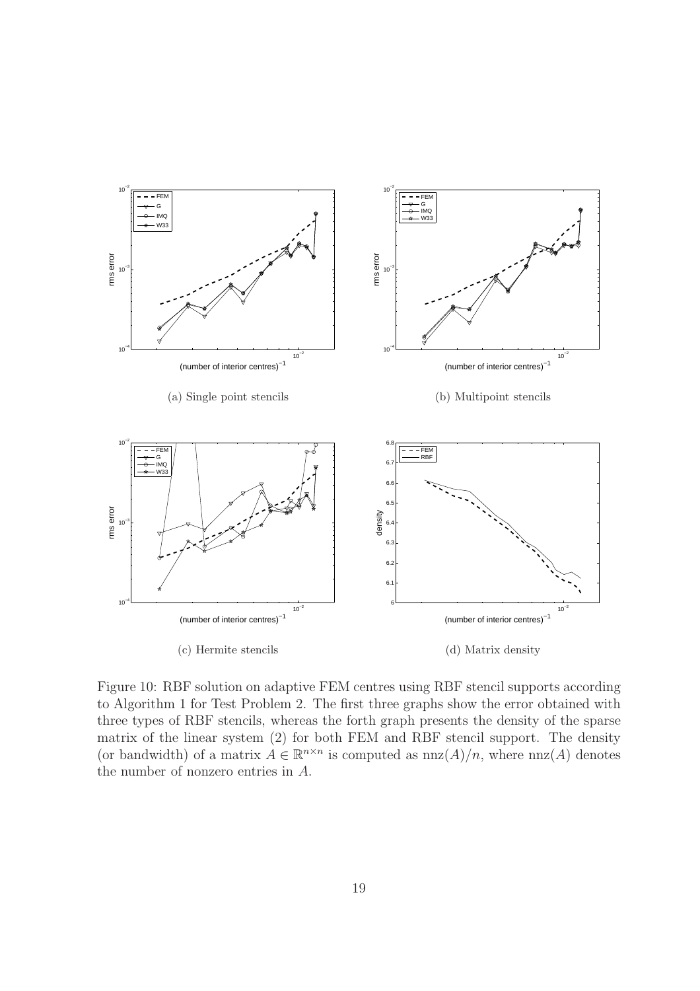

Figure 10: RBF solution on adaptive FEM centres using RBF stencil supports according to Algorithm 1 for Test Problem 2. The first three graphs show the error obtained with three types of RBF stencils, whereas the forth graph presents the density of the sparse matrix of the linear system (2) for both FEM and RBF stencil support. The density (or bandwidth) of a matrix  $A \in \mathbb{R}^{n \times n}$  is computed as  $nnz(A)/n$ , where  $nnz(A)$  denotes the number of nonzero entries in A.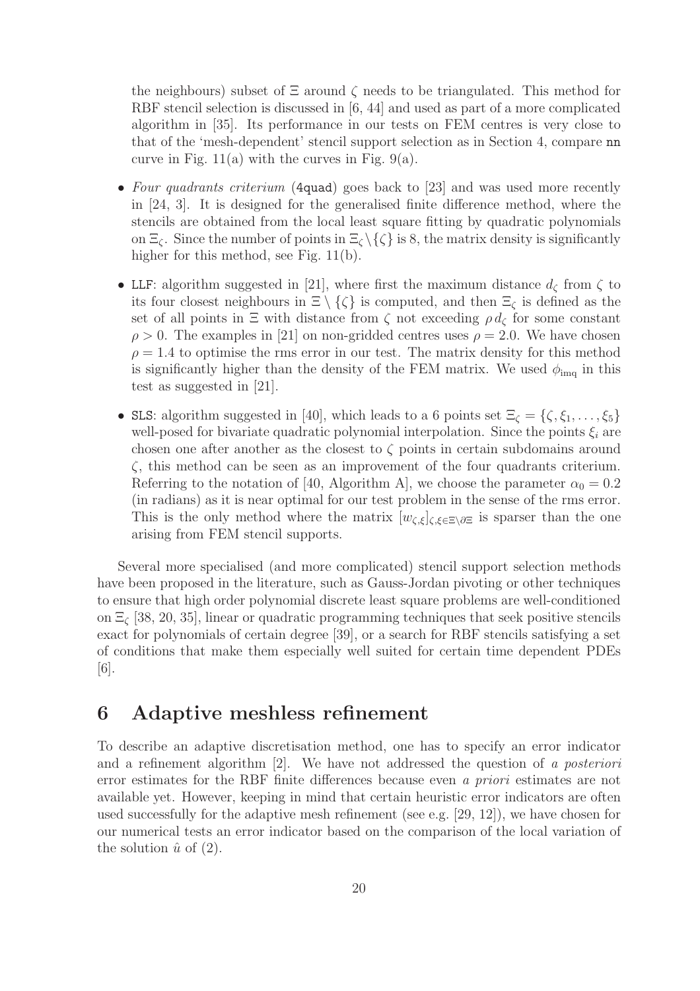the neighbours) subset of  $\Xi$  around  $\zeta$  needs to be triangulated. This method for RBF stencil selection is discussed in [6, 44] and used as part of a more complicated algorithm in [35]. Its performance in our tests on FEM centres is very close to that of the 'mesh-dependent' stencil support selection as in Section 4, compare nn curve in Fig.  $11(a)$  with the curves in Fig. 9(a).

- Four quadrants criterium (4quad) goes back to [23] and was used more recently in [24, 3]. It is designed for the generalised finite difference method, where the stencils are obtained from the local least square fitting by quadratic polynomials on  $\Xi_{\zeta}$ . Since the number of points in  $\Xi_{\zeta} \setminus {\zeta}$  is 8, the matrix density is significantly higher for this method, see Fig. 11(b).
- LLF: algorithm suggested in [21], where first the maximum distance  $d_{\zeta}$  from  $\zeta$  to its four closest neighbours in  $\Xi \setminus \{\zeta\}$  is computed, and then  $\Xi_\zeta$  is defined as the set of all points in  $\Xi$  with distance from  $\zeta$  not exceeding  $\rho d_{\zeta}$  for some constant  $\rho > 0$ . The examples in [21] on non-gridded centres uses  $\rho = 2.0$ . We have chosen  $\rho = 1.4$  to optimise the rms error in our test. The matrix density for this method is significantly higher than the density of the FEM matrix. We used  $\phi_{\text{img}}$  in this test as suggested in [21].
- SLS: algorithm suggested in [40], which leads to a 6 points set  $\Xi_{\zeta} = {\zeta, \xi_1, \ldots, \xi_5}$ well-posed for bivariate quadratic polynomial interpolation. Since the points  $\xi_i$  are chosen one after another as the closest to  $\zeta$  points in certain subdomains around  $\zeta$ , this method can be seen as an improvement of the four quadrants criterium. Referring to the notation of [40, Algorithm A], we choose the parameter  $\alpha_0 = 0.2$ (in radians) as it is near optimal for our test problem in the sense of the rms error. This is the only method where the matrix  $[w_{\zeta,\xi}]_{\zeta,\xi\in\Xi\setminus\partial\Xi}$  is sparser than the one arising from FEM stencil supports.

Several more specialised (and more complicated) stencil support selection methods have been proposed in the literature, such as Gauss-Jordan pivoting or other techniques to ensure that high order polynomial discrete least square problems are well-conditioned on  $\Xi_c$  [38, 20, 35], linear or quadratic programming techniques that seek positive stencils exact for polynomials of certain degree [39], or a search for RBF stencils satisfying a set of conditions that make them especially well suited for certain time dependent PDEs [6].

### 6 Adaptive meshless refinement

To describe an adaptive discretisation method, one has to specify an error indicator and a refinement algorithm  $|2|$ . We have not addressed the question of a posteriori error estimates for the RBF finite differences because even a priori estimates are not available yet. However, keeping in mind that certain heuristic error indicators are often used successfully for the adaptive mesh refinement (see e.g. [29, 12]), we have chosen for our numerical tests an error indicator based on the comparison of the local variation of the solution  $\hat{u}$  of (2).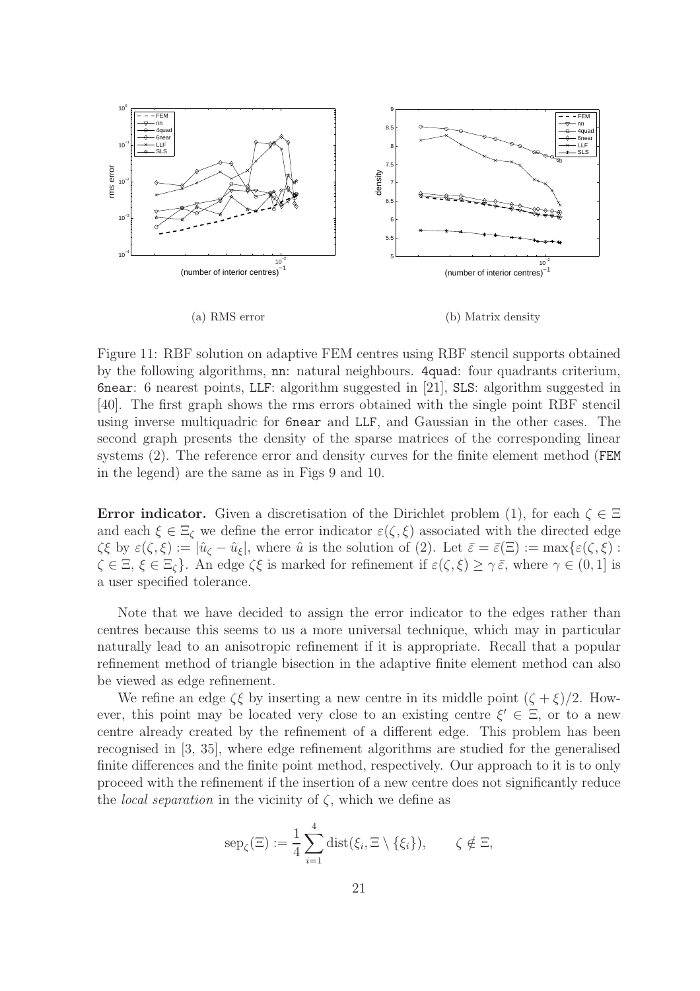

Figure 11: RBF solution on adaptive FEM centres using RBF stencil supports obtained by the following algorithms, nn: natural neighbours. 4quad: four quadrants criterium, 6near: 6 nearest points, LLF: algorithm suggested in [21], SLS: algorithm suggested in [40]. The first graph shows the rms errors obtained with the single point RBF stencil using inverse multiquadric for 6near and LLF, and Gaussian in the other cases. The second graph presents the density of the sparse matrices of the corresponding linear systems (2). The reference error and density curves for the finite element method (FEM in the legend) are the same as in Figs 9 and 10.

**Error indicator.** Given a discretisation of the Dirichlet problem (1), for each  $\zeta \in \Xi$ and each  $\xi \in \Xi_{\zeta}$  we define the error indicator  $\varepsilon(\zeta, \xi)$  associated with the directed edge  $\zeta\xi$  by  $\varepsilon(\zeta,\xi) := |\hat{u}_{\zeta} - \hat{u}_{\xi}|$ , where  $\hat{u}$  is the solution of (2). Let  $\bar{\varepsilon} = \bar{\varepsilon}(\Xi) := \max{\{\varepsilon(\zeta,\xi): \xi\}}$  $\zeta \in \Xi$ ,  $\xi \in \Xi$ <sub>c</sub>. An edge  $\zeta \xi$  is marked for refinement if  $\varepsilon(\zeta, \xi) \geq \gamma \bar{\varepsilon}$ , where  $\gamma \in (0, 1]$  is a user specified tolerance.

Note that we have decided to assign the error indicator to the edges rather than centres because this seems to us a more universal technique, which may in particular naturally lead to an anisotropic refinement if it is appropriate. Recall that a popular refinement method of triangle bisection in the adaptive finite element method can also be viewed as edge refinement.

We refine an edge  $\zeta \xi$  by inserting a new centre in its middle point  $(\zeta + \xi)/2$ . However, this point may be located very close to an existing centre  $\xi' \in \Xi$ , or to a new centre already created by the refinement of a different edge. This problem has been recognised in [3, 35], where edge refinement algorithms are studied for the generalised finite differences and the finite point method, respectively. Our approach to it is to only proceed with the refinement if the insertion of a new centre does not significantly reduce the *local separation* in the vicinity of  $\zeta$ , which we define as

$$
\operatorname{sep}_{\zeta}(\Xi) := \frac{1}{4} \sum_{i=1}^{4} \operatorname{dist}(\xi_i, \Xi \setminus \{\xi_i\}), \qquad \zeta \notin \Xi,
$$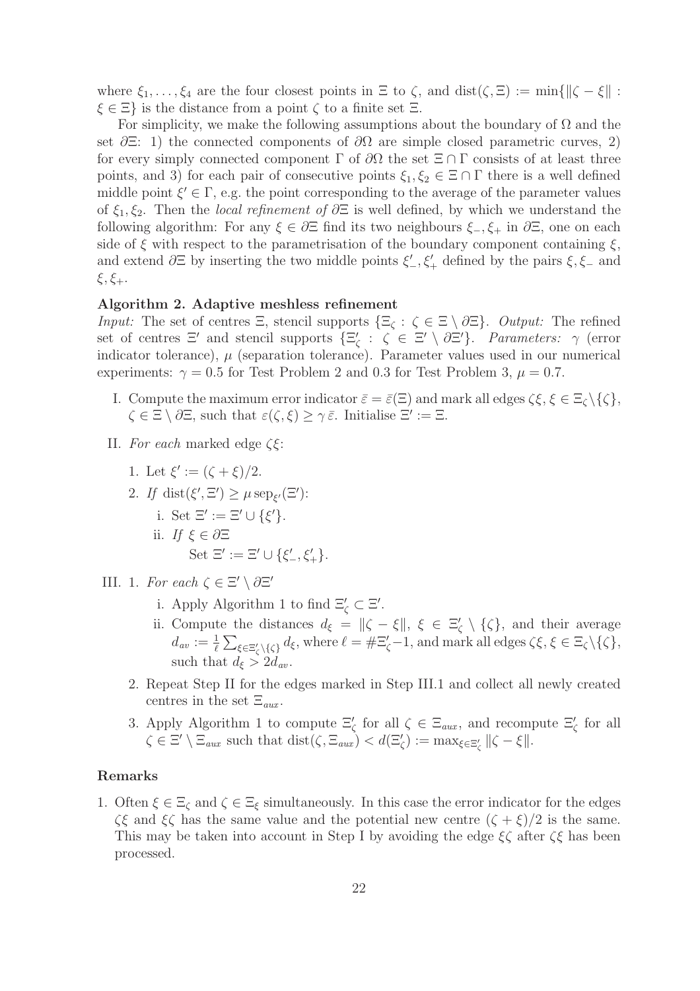where  $\xi_1, \ldots, \xi_4$  are the four closest points in  $\Xi$  to  $\zeta$ , and  $dist(\zeta, \Xi) := min\{||\zeta - \xi||$ :  $\xi \in \Xi$  is the distance from a point  $\zeta$  to a finite set  $\Xi$ .

For simplicity, we make the following assumptions about the boundary of  $\Omega$  and the set  $\partial \Xi$ : 1) the connected components of  $\partial \Omega$  are simple closed parametric curves, 2) for every simply connected component  $\Gamma$  of  $\partial\Omega$  the set  $\Xi \cap \Gamma$  consists of at least three points, and 3) for each pair of consecutive points  $\xi_1, \xi_2 \in \Xi \cap \Gamma$  there is a well defined middle point  $\xi' \in \Gamma$ , e.g. the point corresponding to the average of the parameter values of  $\xi_1, \xi_2$ . Then the *local refinement of*  $\partial \Xi$  is well defined, by which we understand the following algorithm: For any  $\xi \in \partial \Xi$  find its two neighbours  $\xi_-, \xi_+$  in  $\partial \Xi$ , one on each side of  $\xi$  with respect to the parametrisation of the boundary component containing  $\xi$ , and extend  $\partial \Xi$  by inserting the two middle points  $\xi'$ ,  $\xi'$  defined by the pairs  $\xi$ ,  $\xi$  and  $\xi, \xi_+.$ 

### Algorithm 2. Adaptive meshless refinement

Input: The set of centres  $\Xi$ , stencil supports  $\{\Xi_{\zeta}: \zeta \in \Xi \setminus \partial \Xi\}$ . Output: The refined set of centres  $\Xi'$  and stencil supports  $\{\Xi'_{\zeta} : \zeta \in \Xi' \setminus \partial \Xi'\}$ . Parameters:  $\gamma$  (error indicator tolerance),  $\mu$  (separation tolerance). Parameter values used in our numerical experiments:  $\gamma = 0.5$  for Test Problem 2 and 0.3 for Test Problem 3,  $\mu = 0.7$ .

- I. Compute the maximum error indicator  $\bar{\varepsilon} = \bar{\varepsilon}(\Xi)$  and mark all edges  $\zeta \xi, \xi \in \Xi_c \setminus \{\zeta\},\$  $\zeta \in \Xi \setminus \partial \Xi$ , such that  $\varepsilon(\zeta, \xi) \geq \gamma \bar{\varepsilon}$ . Initialise  $\Xi' := \Xi$ .
- II. For each marked edge  $\zeta \xi$ :
	- 1. Let  $\xi' := (\zeta + \xi)/2$ .
	- 2. If  $dist(\xi', \Xi') \geq \mu \operatorname{sep}_{\xi'}(\Xi')$ : i. Set  $\Xi' := \Xi' \cup \{\xi'\}.$ ii. If  $\xi \in \partial \Xi$ Set  $\Xi' := \Xi' \cup \{\xi'_-, \xi'_+\}.$
- III. 1. For each  $\zeta \in \Xi' \setminus \partial \Xi'$ 
	- i. Apply Algorithm 1 to find  $\Xi'_{\zeta} \subset \Xi'$ .
	- ii. Compute the distances  $d_{\xi} = ||\zeta \xi||, \xi \in \Xi'_{\zeta} \setminus {\{\zeta\}},$  and their average  $d_{av} := \frac{1}{\ell} \sum_{\xi \in \Xi'_{\zeta} \setminus \{\zeta\}} d_{\xi}$ , where  $\ell = \# \Xi'_{\zeta} - 1$ , and mark all edges  $\zeta \xi, \xi \in \Xi_{\zeta} \setminus \{\zeta\}$ , such that  $d_{\xi} > 2d_{av}$ .
	- 2. Repeat Step II for the edges marked in Step III.1 and collect all newly created centres in the set  $\Xi_{aux}$ .
	- 3. Apply Algorithm 1 to compute  $\Xi'_{\zeta}$  for all  $\zeta \in \Xi_{aux}$ , and recompute  $\Xi'_{\zeta}$  for all  $\zeta \in \Xi' \setminus \Xi_{aux}$  such that  $dist(\zeta, \Xi_{aux}) < d(\Xi'_{\zeta}) := \max_{\xi \in \Xi'_{\zeta}} ||\zeta - \xi||.$

### Remarks

1. Often  $\xi \in \Xi_{\zeta}$  and  $\zeta \in \Xi_{\zeta}$  simultaneously. In this case the error indicator for the edges  $\zeta\xi$  and  $\xi\zeta$  has the same value and the potential new centre  $(\zeta + \xi)/2$  is the same. This may be taken into account in Step I by avoiding the edge  $\xi \zeta$  after  $\zeta \xi$  has been processed.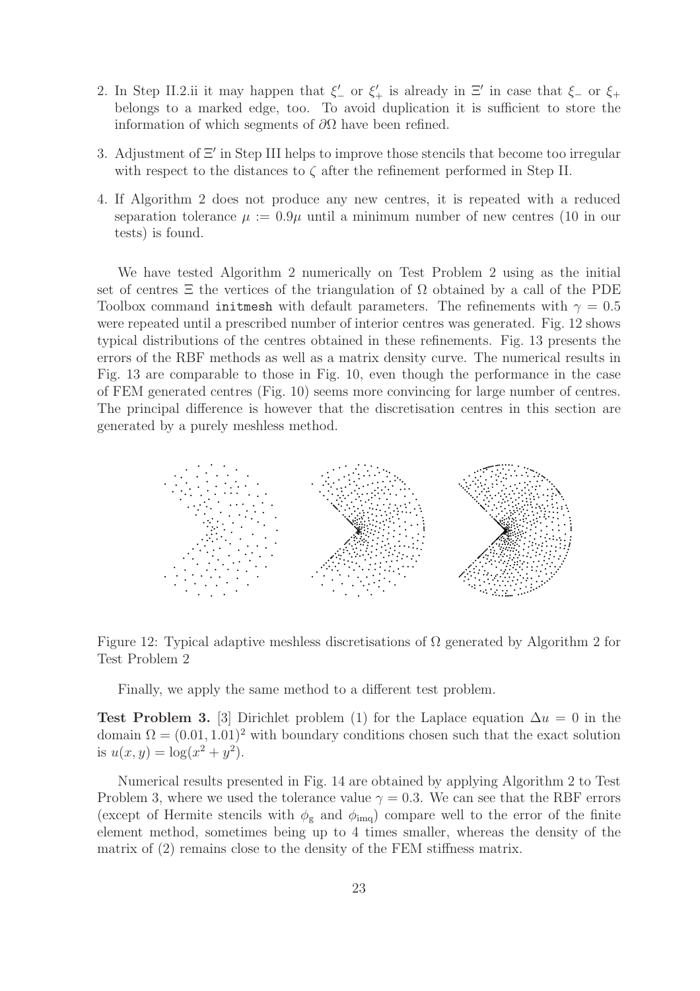- 2. In Step II.2.ii it may happen that  $\xi'$  or  $\xi'$  is already in  $\Xi'$  in case that  $\xi$  or  $\xi$ + belongs to a marked edge, too. To avoid duplication it is sufficient to store the information of which segments of  $\partial\Omega$  have been refined.
- 3. Adjustment of Ξ′ in Step III helps to improve those stencils that become too irregular with respect to the distances to  $\zeta$  after the refinement performed in Step II.
- 4. If Algorithm 2 does not produce any new centres, it is repeated with a reduced separation tolerance  $\mu := 0.9\mu$  until a minimum number of new centres (10 in our tests) is found.

We have tested Algorithm 2 numerically on Test Problem 2 using as the initial set of centres  $\Xi$  the vertices of the triangulation of  $\Omega$  obtained by a call of the PDE Toolbox command initmesh with default parameters. The refinements with  $\gamma = 0.5$ were repeated until a prescribed number of interior centres was generated. Fig. 12 shows typical distributions of the centres obtained in these refinements. Fig. 13 presents the errors of the RBF methods as well as a matrix density curve. The numerical results in Fig. 13 are comparable to those in Fig. 10, even though the performance in the case of FEM generated centres (Fig. 10) seems more convincing for large number of centres. The principal difference is however that the discretisation centres in this section are generated by a purely meshless method.



Figure 12: Typical adaptive meshless discretisations of  $\Omega$  generated by Algorithm 2 for Test Problem 2

Finally, we apply the same method to a different test problem.

Test Problem 3. [3] Dirichlet problem (1) for the Laplace equation  $\Delta u = 0$  in the domain  $\Omega = (0.01, 1.01)^2$  with boundary conditions chosen such that the exact solution is  $u(x, y) = \log(x^2 + y^2)$ .

Numerical results presented in Fig. 14 are obtained by applying Algorithm 2 to Test Problem 3, where we used the tolerance value  $\gamma = 0.3$ . We can see that the RBF errors (except of Hermite stencils with  $\phi_{\rm g}$  and  $\phi_{\rm img}$ ) compare well to the error of the finite element method, sometimes being up to 4 times smaller, whereas the density of the matrix of (2) remains close to the density of the FEM stiffness matrix.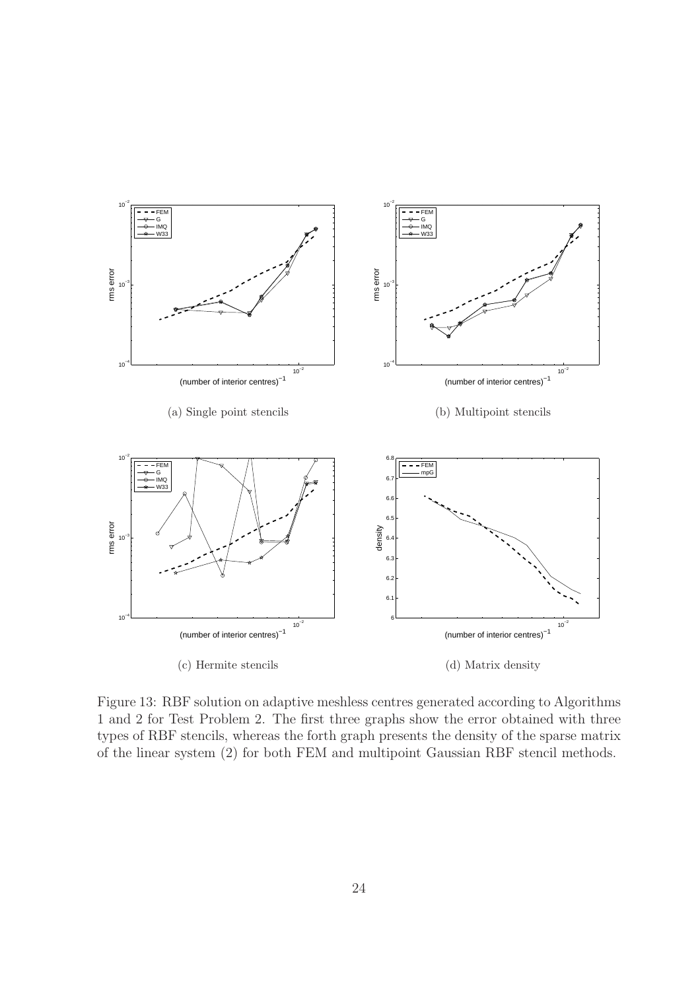

Figure 13: RBF solution on adaptive meshless centres generated according to Algorithms 1 and 2 for Test Problem 2. The first three graphs show the error obtained with three types of RBF stencils, whereas the forth graph presents the density of the sparse matrix of the linear system (2) for both FEM and multipoint Gaussian RBF stencil methods.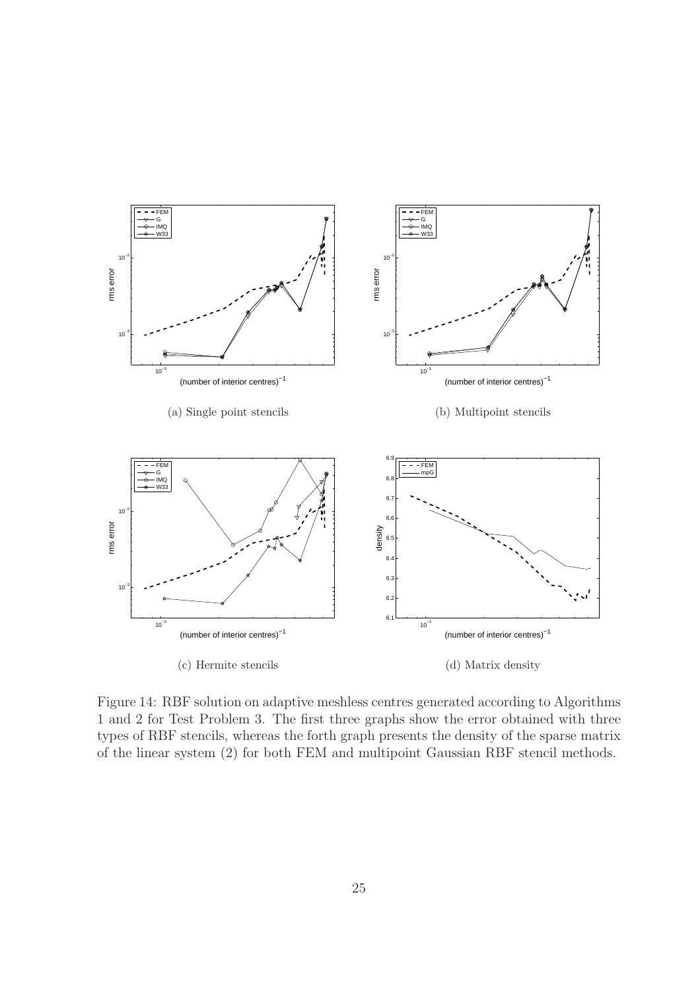

Figure 14: RBF solution on adaptive meshless centres generated according to Algorithms 1 and 2 for Test Problem 3. The first three graphs show the error obtained with three types of RBF stencils, whereas the forth graph presents the density of the sparse matrix of the linear system (2) for both FEM and multipoint Gaussian RBF stencil methods.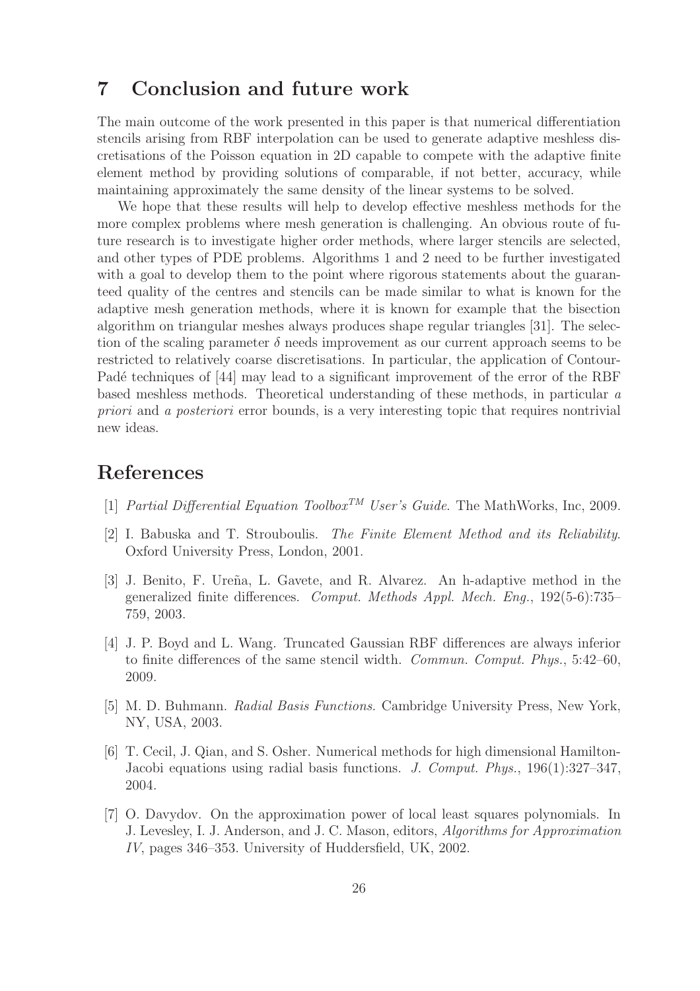# 7 Conclusion and future work

The main outcome of the work presented in this paper is that numerical differentiation stencils arising from RBF interpolation can be used to generate adaptive meshless discretisations of the Poisson equation in 2D capable to compete with the adaptive finite element method by providing solutions of comparable, if not better, accuracy, while maintaining approximately the same density of the linear systems to be solved.

We hope that these results will help to develop effective meshless methods for the more complex problems where mesh generation is challenging. An obvious route of future research is to investigate higher order methods, where larger stencils are selected, and other types of PDE problems. Algorithms 1 and 2 need to be further investigated with a goal to develop them to the point where rigorous statements about the guaranteed quality of the centres and stencils can be made similar to what is known for the adaptive mesh generation methods, where it is known for example that the bisection algorithm on triangular meshes always produces shape regular triangles [31]. The selection of the scaling parameter  $\delta$  needs improvement as our current approach seems to be restricted to relatively coarse discretisations. In particular, the application of Contour-Padé techniques of [44] may lead to a significant improvement of the error of the RBF based meshless methods. Theoretical understanding of these methods, in particular a priori and a posteriori error bounds, is a very interesting topic that requires nontrivial new ideas.

# References

- [1] Partial Differential Equation Toolbox<sup>TM</sup> User's Guide. The MathWorks, Inc, 2009.
- [2] I. Babuska and T. Strouboulis. The Finite Element Method and its Reliability. Oxford University Press, London, 2001.
- [3] J. Benito, F. Ureña, L. Gavete, and R. Alvarez. An h-adaptive method in the generalized finite differences. Comput. Methods Appl. Mech. Eng., 192(5-6):735– 759, 2003.
- [4] J. P. Boyd and L. Wang. Truncated Gaussian RBF differences are always inferior to finite differences of the same stencil width. Commun. Comput. Phys., 5:42–60, 2009.
- [5] M. D. Buhmann. Radial Basis Functions. Cambridge University Press, New York, NY, USA, 2003.
- [6] T. Cecil, J. Qian, and S. Osher. Numerical methods for high dimensional Hamilton-Jacobi equations using radial basis functions. J. Comput. Phys.,  $196(1):327-347$ , 2004.
- [7] O. Davydov. On the approximation power of local least squares polynomials. In J. Levesley, I. J. Anderson, and J. C. Mason, editors, Algorithms for Approximation IV, pages 346–353. University of Huddersfield, UK, 2002.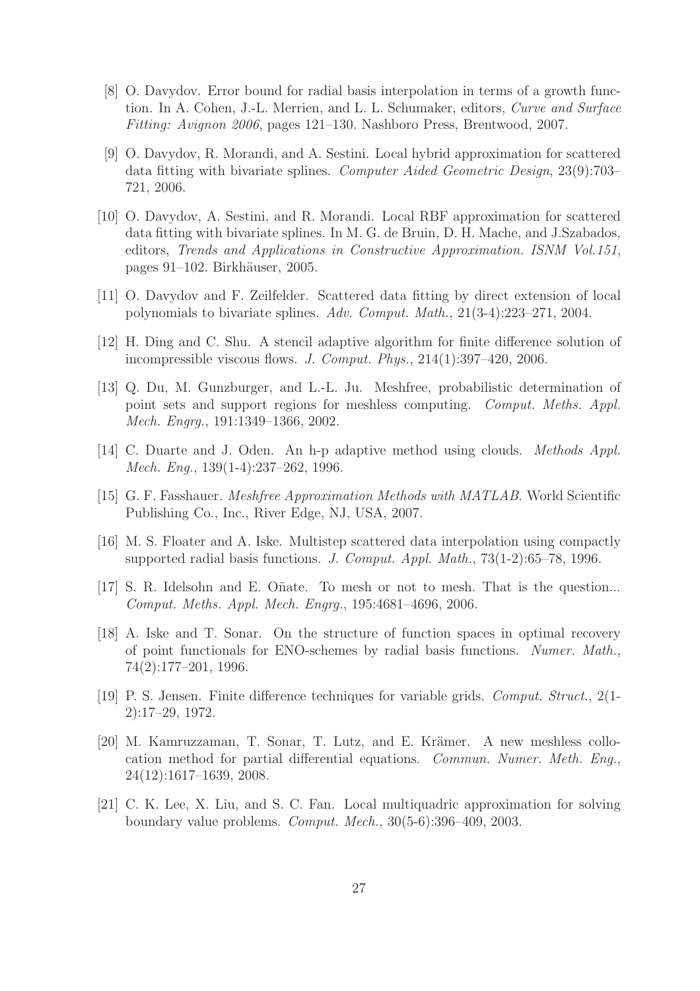- [8] O. Davydov. Error bound for radial basis interpolation in terms of a growth function. In A. Cohen, J.-L. Merrien, and L. L. Schumaker, editors, Curve and Surface Fitting: Avignon 2006, pages 121–130. Nashboro Press, Brentwood, 2007.
- [9] O. Davydov, R. Morandi, and A. Sestini. Local hybrid approximation for scattered data fitting with bivariate splines. Computer Aided Geometric Design, 23(9):703– 721, 2006.
- [10] O. Davydov, A. Sestini, and R. Morandi. Local RBF approximation for scattered data fitting with bivariate splines. In M. G. de Bruin, D. H. Mache, and J.Szabados, editors, Trends and Applications in Constructive Approximation. ISNM Vol.151, pages 91–102. Birkhäuser, 2005.
- [11] O. Davydov and F. Zeilfelder. Scattered data fitting by direct extension of local polynomials to bivariate splines. Adv. Comput. Math., 21(3-4):223–271, 2004.
- [12] H. Ding and C. Shu. A stencil adaptive algorithm for finite difference solution of incompressible viscous flows. J. Comput. Phys., 214(1):397–420, 2006.
- [13] Q. Du, M. Gunzburger, and L.-L. Ju. Meshfree, probabilistic determination of point sets and support regions for meshless computing. Comput. Meths. Appl. Mech. Engrg., 191:1349–1366, 2002.
- [14] C. Duarte and J. Oden. An h-p adaptive method using clouds. Methods Appl. Mech. Eng., 139(1-4):237–262, 1996.
- [15] G. F. Fasshauer. Meshfree Approximation Methods with MATLAB. World Scientific Publishing Co., Inc., River Edge, NJ, USA, 2007.
- [16] M. S. Floater and A. Iske. Multistep scattered data interpolation using compactly supported radial basis functions. J. Comput. Appl. Math., 73(1-2):65–78, 1996.
- [17] S. R. Idelsohn and E. Oñate. To mesh or not to mesh. That is the question... Comput. Meths. Appl. Mech. Engrg., 195:4681–4696, 2006.
- [18] A. Iske and T. Sonar. On the structure of function spaces in optimal recovery of point functionals for ENO-schemes by radial basis functions. Numer. Math., 74(2):177–201, 1996.
- [19] P. S. Jensen. Finite difference techniques for variable grids. Comput. Struct., 2(1- 2):17–29, 1972.
- [20] M. Kamruzzaman, T. Sonar, T. Lutz, and E. Krämer. A new meshless collocation method for partial differential equations. Commun. Numer. Meth. Eng., 24(12):1617–1639, 2008.
- [21] C. K. Lee, X. Liu, and S. C. Fan. Local multiquadric approximation for solving boundary value problems. Comput. Mech., 30(5-6):396–409, 2003.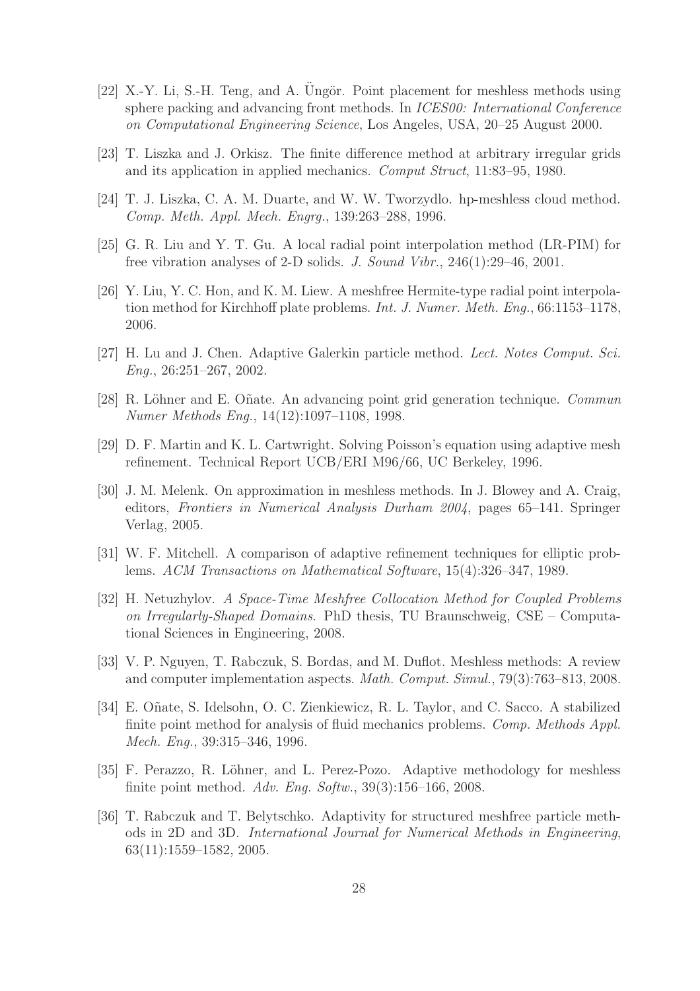- [22] X.-Y. Li, S.-H. Teng, and A. Ungör. Point placement for meshless methods using sphere packing and advancing front methods. In ICES00: International Conference on Computational Engineering Science, Los Angeles, USA, 20–25 August 2000.
- [23] T. Liszka and J. Orkisz. The finite difference method at arbitrary irregular grids and its application in applied mechanics. Comput Struct, 11:83–95, 1980.
- [24] T. J. Liszka, C. A. M. Duarte, and W. W. Tworzydlo. hp-meshless cloud method. Comp. Meth. Appl. Mech. Engrg., 139:263–288, 1996.
- [25] G. R. Liu and Y. T. Gu. A local radial point interpolation method (LR-PIM) for free vibration analyses of 2-D solids. J. Sound Vibr., 246(1):29–46, 2001.
- [26] Y. Liu, Y. C. Hon, and K. M. Liew. A meshfree Hermite-type radial point interpolation method for Kirchhoff plate problems. Int. J. Numer. Meth. Eng., 66:1153–1178, 2006.
- [27] H. Lu and J. Chen. Adaptive Galerkin particle method. Lect. Notes Comput. Sci. Eng., 26:251–267, 2002.
- [28] R. Löhner and E. Oñate. An advancing point grid generation technique. Commun Numer Methods Eng., 14(12):1097–1108, 1998.
- [29] D. F. Martin and K. L. Cartwright. Solving Poisson's equation using adaptive mesh refinement. Technical Report UCB/ERI M96/66, UC Berkeley, 1996.
- [30] J. M. Melenk. On approximation in meshless methods. In J. Blowey and A. Craig, editors, Frontiers in Numerical Analysis Durham 2004, pages 65–141. Springer Verlag, 2005.
- [31] W. F. Mitchell. A comparison of adaptive refinement techniques for elliptic problems. ACM Transactions on Mathematical Software, 15(4):326–347, 1989.
- [32] H. Netuzhylov. A Space-Time Meshfree Collocation Method for Coupled Problems on Irregularly-Shaped Domains. PhD thesis, TU Braunschweig, CSE – Computational Sciences in Engineering, 2008.
- [33] V. P. Nguyen, T. Rabczuk, S. Bordas, and M. Duflot. Meshless methods: A review and computer implementation aspects. Math. Comput. Simul., 79(3):763–813, 2008.
- [34] E. Oñate, S. Idelsohn, O. C. Zienkiewicz, R. L. Taylor, and C. Sacco. A stabilized finite point method for analysis of fluid mechanics problems. Comp. Methods Appl. Mech. Eng., 39:315–346, 1996.
- [35] F. Perazzo, R. Löhner, and L. Perez-Pozo. Adaptive methodology for meshless finite point method. Adv. Eng. Softw., 39(3):156–166, 2008.
- [36] T. Rabczuk and T. Belytschko. Adaptivity for structured meshfree particle methods in 2D and 3D. International Journal for Numerical Methods in Engineering, 63(11):1559–1582, 2005.